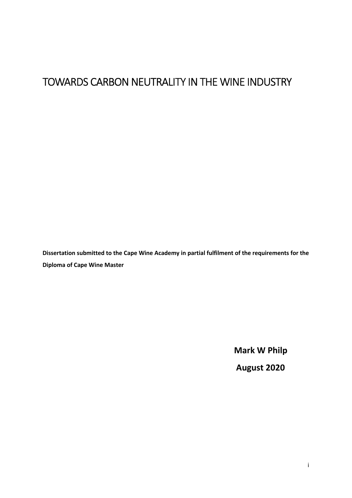# TOWARDS CARBON NEUTRALITY IN THE WINE INDUSTRY

**Dissertation submitted to the Cape Wine Academy in partial fulfilment of the requirements for the Diploma of Cape Wine Master**

**Mark W Philp**

**August 2020**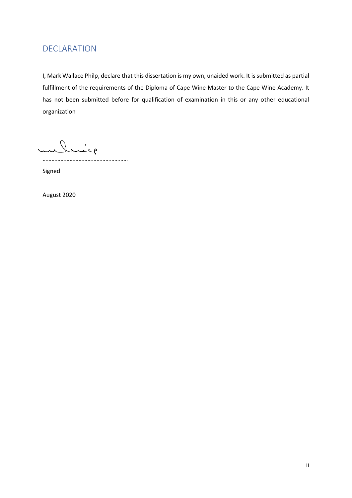# DECLARATION

I, Mark Wallace Philp, declare that this dissertation is my own, unaided work. It is submitted as partial fulfillment of the requirements of the Diploma of Cape Wine Master to the Cape Wine Academy. It has not been submitted before for qualification of examination in this or any other educational organization

…………………………………………………

Signed

August 2020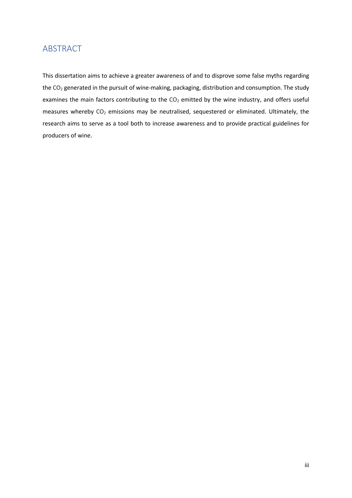# ABSTRACT

This dissertation aims to achieve a greater awareness of and to disprove some false myths regarding the  $CO<sub>2</sub>$  generated in the pursuit of wine-making, packaging, distribution and consumption. The study examines the main factors contributing to the  $CO<sub>2</sub>$  emitted by the wine industry, and offers useful measures whereby CO<sub>2</sub> emissions may be neutralised, sequestered or eliminated. Ultimately, the research aims to serve as a tool both to increase awareness and to provide practical guidelines for producers of wine.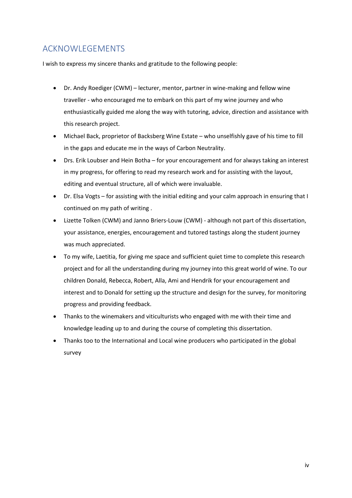# ACKNOWLEGEMENTS

I wish to express my sincere thanks and gratitude to the following people:

- · Dr. Andy Roediger (CWM) lecturer, mentor, partner in wine-making and fellow wine traveller - who encouraged me to embark on this part of my wine journey and who enthusiastically guided me along the way with tutoring, advice, direction and assistance with this research project.
- · Michael Back, proprietor of Backsberg Wine Estate who unselfishly gave of his time to fill in the gaps and educate me in the ways of Carbon Neutrality.
- · Drs. Erik Loubser and Hein Botha for your encouragement and for always taking an interest in my progress, for offering to read my research work and for assisting with the layout, editing and eventual structure, all of which were invaluable.
- · Dr. Elsa Vogts for assisting with the initial editing and your calm approach in ensuring that I continued on my path of writing .
- · Lizette Tolken (CWM) and Janno Briers-Louw (CWM) although not part of this dissertation, your assistance, energies, encouragement and tutored tastings along the student journey was much appreciated.
- · To my wife, Laetitia, for giving me space and sufficient quiet time to complete this research project and for all the understanding during my journey into this great world of wine. To our children Donald, Rebecca, Robert, Alla, Ami and Hendrik for your encouragement and interest and to Donald for setting up the structure and design for the survey, for monitoring progress and providing feedback.
- · Thanks to the winemakers and viticulturists who engaged with me with their time and knowledge leading up to and during the course of completing this dissertation.
- · Thanks too to the International and Local wine producers who participated in the global survey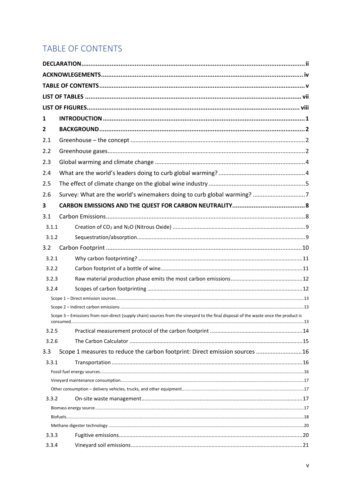# **TABLE OF CONTENTS**

| 1              |                                                                                                                                     |  |  |
|----------------|-------------------------------------------------------------------------------------------------------------------------------------|--|--|
| $\overline{2}$ |                                                                                                                                     |  |  |
| 2.1            |                                                                                                                                     |  |  |
| 2.2            |                                                                                                                                     |  |  |
| 2.3            |                                                                                                                                     |  |  |
| 2.4            |                                                                                                                                     |  |  |
| 2.5            |                                                                                                                                     |  |  |
| 2.6            | Survey: What are the world's winemakers doing to curb global warming? 7                                                             |  |  |
| 3              |                                                                                                                                     |  |  |
| 3.1            |                                                                                                                                     |  |  |
| 3.1.1          |                                                                                                                                     |  |  |
| 3.1.2          |                                                                                                                                     |  |  |
| 3.2            |                                                                                                                                     |  |  |
| 3.2.1          |                                                                                                                                     |  |  |
| 3.2.2          |                                                                                                                                     |  |  |
| 3.2.3          |                                                                                                                                     |  |  |
| 3.2.4          |                                                                                                                                     |  |  |
|                |                                                                                                                                     |  |  |
|                | Scope 3 - Emissions from non-direct (supply chain) sources from the vineyard to the final disposal of the waste once the product is |  |  |
|                |                                                                                                                                     |  |  |
| 3.2.5          |                                                                                                                                     |  |  |
| 3.2.6          |                                                                                                                                     |  |  |
| 3.3            | Scope 1 measures to reduce the carbon footprint: Direct emission sources  16                                                        |  |  |
| 3.3.1          |                                                                                                                                     |  |  |
|                |                                                                                                                                     |  |  |
|                |                                                                                                                                     |  |  |
| 3.3.2          |                                                                                                                                     |  |  |
|                |                                                                                                                                     |  |  |
|                |                                                                                                                                     |  |  |
|                |                                                                                                                                     |  |  |
|                | 3.3.3                                                                                                                               |  |  |
| 3.3.4          |                                                                                                                                     |  |  |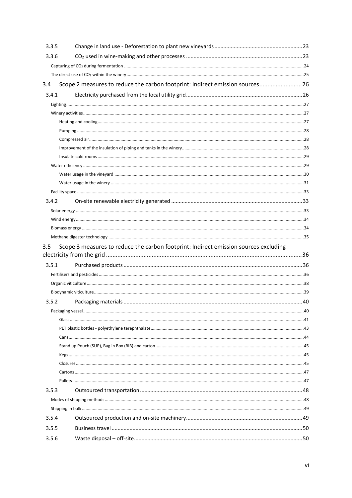| 3.3.5 |                                                                                      |  |  |  |
|-------|--------------------------------------------------------------------------------------|--|--|--|
| 3.3.6 |                                                                                      |  |  |  |
|       |                                                                                      |  |  |  |
|       |                                                                                      |  |  |  |
| 3.4   | Scope 2 measures to reduce the carbon footprint: Indirect emission sources26         |  |  |  |
| 3.4.1 |                                                                                      |  |  |  |
|       |                                                                                      |  |  |  |
|       |                                                                                      |  |  |  |
|       |                                                                                      |  |  |  |
|       |                                                                                      |  |  |  |
|       |                                                                                      |  |  |  |
|       |                                                                                      |  |  |  |
|       |                                                                                      |  |  |  |
|       |                                                                                      |  |  |  |
|       |                                                                                      |  |  |  |
|       |                                                                                      |  |  |  |
|       |                                                                                      |  |  |  |
| 3.4.2 |                                                                                      |  |  |  |
|       |                                                                                      |  |  |  |
|       |                                                                                      |  |  |  |
|       |                                                                                      |  |  |  |
|       |                                                                                      |  |  |  |
| 3.5   | Scope 3 measures to reduce the carbon footprint: Indirect emission sources excluding |  |  |  |
|       |                                                                                      |  |  |  |
| 3.5.1 |                                                                                      |  |  |  |
|       |                                                                                      |  |  |  |
|       |                                                                                      |  |  |  |
|       |                                                                                      |  |  |  |
| 3.5.2 |                                                                                      |  |  |  |
|       |                                                                                      |  |  |  |
|       |                                                                                      |  |  |  |
|       |                                                                                      |  |  |  |
|       |                                                                                      |  |  |  |
|       |                                                                                      |  |  |  |
|       |                                                                                      |  |  |  |
|       |                                                                                      |  |  |  |
|       |                                                                                      |  |  |  |
| 3.5.3 |                                                                                      |  |  |  |
|       |                                                                                      |  |  |  |
|       |                                                                                      |  |  |  |
|       |                                                                                      |  |  |  |
| 3.5.4 |                                                                                      |  |  |  |
|       | 3.5.5                                                                                |  |  |  |
| 3.5.6 |                                                                                      |  |  |  |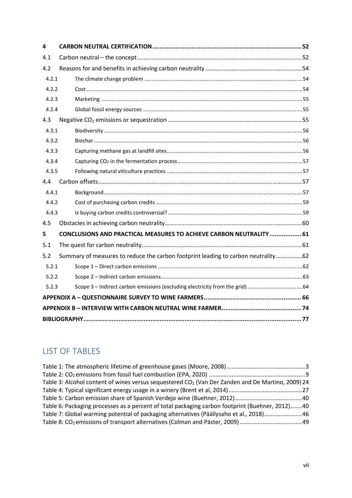| 4     |                                                                                    |  |  |  |
|-------|------------------------------------------------------------------------------------|--|--|--|
| 4.1   |                                                                                    |  |  |  |
| 4.2   |                                                                                    |  |  |  |
| 4.2.1 |                                                                                    |  |  |  |
| 4.2.2 |                                                                                    |  |  |  |
| 4.2.3 |                                                                                    |  |  |  |
| 4.2.4 |                                                                                    |  |  |  |
| 4.3   |                                                                                    |  |  |  |
| 4.3.1 |                                                                                    |  |  |  |
| 4.3.2 |                                                                                    |  |  |  |
| 4.3.3 |                                                                                    |  |  |  |
| 4.3.4 |                                                                                    |  |  |  |
| 4.3.5 |                                                                                    |  |  |  |
| 4.4   |                                                                                    |  |  |  |
| 4.4.1 |                                                                                    |  |  |  |
| 4.4.2 |                                                                                    |  |  |  |
| 4.4.3 |                                                                                    |  |  |  |
| 4.5   |                                                                                    |  |  |  |
| 5     | CONCLUSIONS AND PRACTICAL MEASURES TO ACHIEVE CARBON NEUTRALITY 61                 |  |  |  |
| 5.1   |                                                                                    |  |  |  |
| 5.2   | Summary of measures to reduce the carbon footprint leading to carbon neutrality 62 |  |  |  |
| 5.2.1 |                                                                                    |  |  |  |
| 5.2.2 |                                                                                    |  |  |  |
| 5.2.3 |                                                                                    |  |  |  |
|       |                                                                                    |  |  |  |
|       |                                                                                    |  |  |  |
|       |                                                                                    |  |  |  |

# LIST OF TABLES

| Table 3: Alcohol content of wines versus sequestered CO <sub>2</sub> (Van Der Zanden and De Martino, 2009) 24 |  |
|---------------------------------------------------------------------------------------------------------------|--|
|                                                                                                               |  |
|                                                                                                               |  |
| Table 6: Packaging processes as a percent of total packaging carbon footprint (Buehner, 2012)40               |  |
| Table 7: Global warming potential of packaging alternatives (Päällysaho et al., 2018)46                       |  |
|                                                                                                               |  |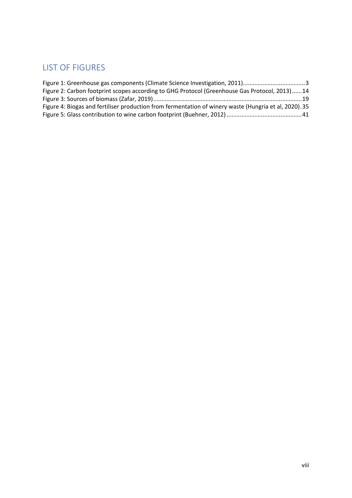# LIST OF FIGURES

| Figure 2: Carbon footprint scopes according to GHG Protocol (Greenhouse Gas Protocol, 2013)14         |  |
|-------------------------------------------------------------------------------------------------------|--|
|                                                                                                       |  |
| Figure 4: Biogas and fertiliser production from fermentation of winery waste (Hungria et al, 2020).35 |  |
|                                                                                                       |  |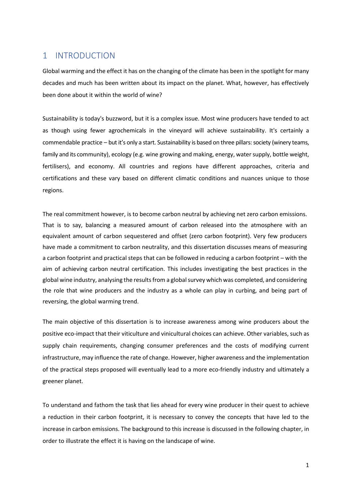# 1 INTRODUCTION

Global warming and the effect it has on the changing of the climate has been in the spotlight for many decades and much has been written about its impact on the planet. What, however, has effectively been done about it within the world of wine?

Sustainability is today's buzzword, but it is a complex issue. Most wine producers have tended to act as though using fewer agrochemicals in the vineyard will achieve sustainability. It's certainly a commendable practice – but it's only a start. Sustainability is based on three pillars: society (winery teams, family and its community), ecology (e.g. wine growing and making, energy, water supply, bottle weight, fertilisers), and economy. All countries and regions have different approaches, criteria and certifications and these vary based on different climatic conditions and nuances unique to those regions.

The real commitment however, is to become carbon neutral by achieving net zero carbon emissions. That is to say, balancing a measured amount of carbon released into the atmosphere with an equivalent amount of carbon sequestered and offset (zero carbon footprint). Very few producers have made a commitment to carbon neutrality, and this dissertation discusses means of measuring a carbon footprint and practical steps that can be followed in reducing a carbon footprint – with the aim of achieving carbon neutral certification. This includes investigating the best practices in the global wine industry, analysing the results from a global survey which was completed, and considering the role that wine producers and the industry as a whole can play in curbing, and being part of reversing, the global warming trend.

The main objective of this dissertation is to increase awareness among wine producers about the positive eco-impact that their viticulture and vinicultural choices can achieve. Other variables, such as supply chain requirements, changing consumer preferences and the costs of modifying current infrastructure, may influence the rate of change. However, higher awareness and the implementation of the practical steps proposed will eventually lead to a more eco-friendly industry and ultimately a greener planet.

To understand and fathom the task that lies ahead for every wine producer in their quest to achieve a reduction in their carbon footprint, it is necessary to convey the concepts that have led to the increase in carbon emissions. The background to this increase is discussed in the following chapter, in order to illustrate the effect it is having on the landscape of wine.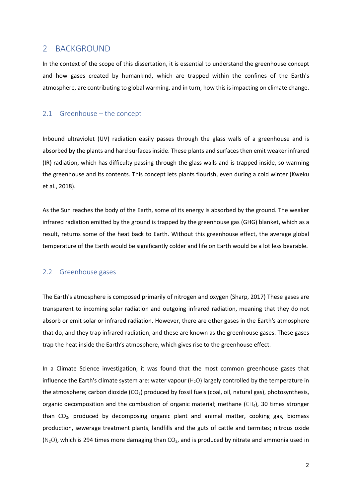# 2 BACKGROUND

In the context of the scope of this dissertation, it is essential to understand the greenhouse concept and how gases created by humankind, which are trapped within the confines of the Earth's atmosphere, are contributing to global warming, and in turn, how this is impacting on climate change.

# 2.1 Greenhouse – the concept

Inbound ultraviolet (UV) radiation easily passes through the glass walls of a greenhouse and is absorbed by the plants and hard surfaces inside. These plants and surfaces then emit weaker infrared (IR) radiation, which has difficulty passing through the glass walls and is trapped inside, so warming the greenhouse and its contents. This concept lets plants flourish, even during a cold winter (Kweku et al., 2018).

As the Sun reaches the body of the Earth, some of its energy is absorbed by the ground. The weaker infrared radiation emitted by the ground is trapped by the greenhouse gas (GHG) blanket, which as a result, returns some of the heat back to Earth. Without this greenhouse effect, the average global temperature of the Earth would be significantly colder and life on Earth would be a lot less bearable.

# 2.2 Greenhouse gases

The Earth's atmosphere is composed primarily of nitrogen and oxygen (Sharp, 2017) These gases are transparent to incoming solar radiation and outgoing infrared radiation, meaning that they do not absorb or emit solar or infrared radiation. However, there are other gases in the Earth's atmosphere that do, and they trap infrared radiation, and these are known as the greenhouse gases. These gases trap the heat inside the Earth's atmosphere, which gives rise to the greenhouse effect.

In a Climate Science investigation, it was found that the most common greenhouse gases that influence the Earth's climate system are: water vapour  $(H_2O)$  largely controlled by the temperature in the atmosphere; carbon dioxide (CO2) produced by fossil fuels (coal, oil, natural gas), photosynthesis, organic decomposition and the combustion of organic material; methane  $(CH_4)$ , 30 times stronger than  $CO<sub>2</sub>$ , produced by decomposing organic plant and animal matter, cooking gas, biomass production, sewerage treatment plants, landfills and the guts of cattle and termites; nitrous oxide  $(N_2O)$ , which is 294 times more damaging than CO<sub>2</sub>, and is produced by nitrate and ammonia used in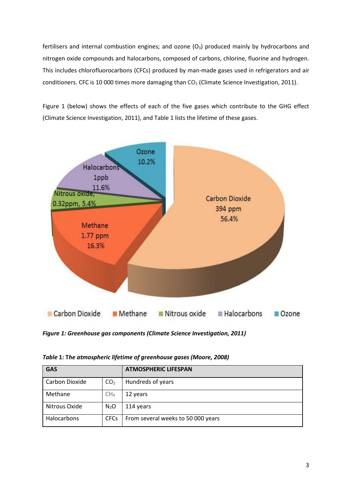fertilisers and internal combustion engines; and ozone  $(O_3)$  produced mainly by hydrocarbons and nitrogen oxide compounds and halocarbons, composed of carbons, chlorine, fluorine and hydrogen. This includes chlorofluorocarbons (CFCs) produced by man-made gases used in refrigerators and air conditioners. CFC is 10 000 times more damaging than  $CO<sub>2</sub>$  (Climate Science Investigation, 2011).

Figure 1 (below) shows the effects of each of the five gases which contribute to the GHG effect (Climate Science Investigation, 2011), and Table 1 lists the lifetime of these gases.



*Figure 1: Greenhouse gas components (Climate Science Investigation, 2011)*

| <b>GAS</b>     |                 | <b>ATMOSPHERIC LIFESPAN</b>        |  |
|----------------|-----------------|------------------------------------|--|
| Carbon Dioxide | CO <sub>2</sub> | Hundreds of years                  |  |
| Methane        | CH <sub>4</sub> | 12 years                           |  |
| Nitrous Oxide  | $N_2O$          | 114 years                          |  |
| Halocarbons    | <b>CFCs</b>     | From several weeks to 50 000 years |  |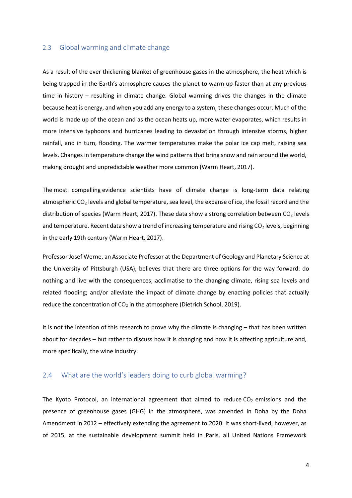# 2.3 Global warming and climate change

As a result of the ever thickening blanket of greenhouse gases in the atmosphere, the heat which is being trapped in the Earth's atmosphere causes the planet to warm up faster than at any previous time in history – resulting in climate change. Global warming drives the changes in the climate because heat is energy, and when you add any energy to a system, these changes occur. Much of the world is made up of the ocean and as the ocean heats up, more water evaporates, which results in more intensive typhoons and hurricanes leading to devastation through intensive storms, higher rainfall, and in turn, flooding. The warmer temperatures make the polar ice cap melt, raising sea levels. Changes in temperature change the wind patterns that bring snow and rain around the world, making drought and unpredictable weather more common (Warm Heart, 2017).

The most compelling evidence scientists have of climate change is long-term data relating atmospheric CO<sup>2</sup> levels and global temperature, sea level, the expanse of ice, the fossil record and the distribution of species (Warm Heart, 2017). These data show a strong correlation between  $CO<sub>2</sub>$  levels and temperature. Recent data show a trend of increasing temperature and rising CO<sub>2</sub> levels, beginning in the early 19th century (Warm Heart, 2017).

Professor Josef Werne, an Associate Professor at the Department of Geology and Planetary Science at the University of Pittsburgh (USA), believes that there are three options for the way forward: do nothing and live with the consequences; acclimatise to the changing climate, rising sea levels and related flooding; and/or alleviate the impact of climate change by enacting policies that actually reduce the concentration of  $CO<sub>2</sub>$  in the atmosphere (Dietrich School, 2019).

It is not the intention of this research to prove why the climate is changing – that has been written about for decades – but rather to discuss how it is changing and how it is affecting agriculture and, more specifically, the wine industry.

# 2.4 What are the world's leaders doing to curb global warming?

The Kyoto Protocol, an international agreement that aimed to reduce  $CO<sub>2</sub>$  emissions and the presence of greenhouse gases (GHG) in the atmosphere, was amended in Doha by the Doha Amendment in 2012 – effectively extending the agreement to 2020. It was short-lived, however, as of 2015, at the sustainable development summit held in Paris, all United Nations Framework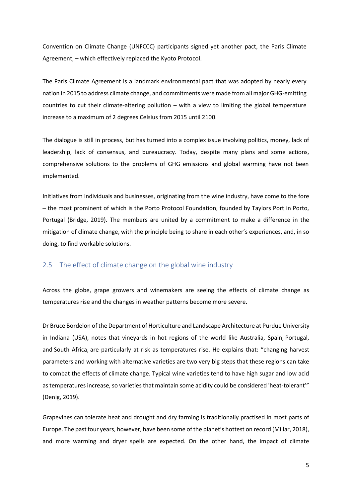Convention on Climate Change (UNFCCC) participants signed yet another pact, the Paris Climate Agreement, – which effectively replaced the Kyoto Protocol.

The Paris Climate Agreement is a landmark environmental pact that was adopted by nearly every nation in 2015 to address climate change, and commitments were made from all major GHG-emitting countries to cut their climate-altering pollution – with a view to limiting the global temperature increase to a maximum of 2 degrees Celsius from 2015 until 2100.

The dialogue is still in process, but has turned into a complex issue involving politics, money, lack of leadership, lack of consensus, and bureaucracy. Today, despite many plans and some actions, comprehensive solutions to the problems of GHG emissions and global warming have not been implemented.

Initiatives from individuals and businesses, originating from the wine industry, have come to the fore – the most prominent of which is the Porto Protocol Foundation, founded by Taylors Port in Porto, Portugal (Bridge, 2019). The members are united by a commitment to make a difference in the mitigation of climate change, with the principle being to share in each other's experiences, and, in so doing, to find workable solutions.

# 2.5 The effect of climate change on the global wine industry

Across the globe, grape growers and winemakers are seeing the effects of climate change as temperatures rise and the changes in weather patterns become more severe.

Dr Bruce Bordelon of the Department of Horticulture and Landscape Architecture at Purdue University in Indiana (USA), notes that vineyards in hot regions of the world like Australia, Spain, Portugal, and South Africa, are particularly at risk as temperatures rise. He explains that: "changing harvest parameters and working with alternative varieties are two very big steps that these regions can take to combat the effects of climate change. Typical wine varieties tend to have high sugar and low acid as temperatures increase, so varieties that maintain some acidity could be considered 'heat-tolerant'" (Denig, 2019).

Grapevines can tolerate heat and drought and dry farming is traditionally practised in most parts of Europe. The past four years, however, have been some of the planet's hottest on record (Millar, 2018), and more warming and dryer spells are expected. On the other hand, the impact of climate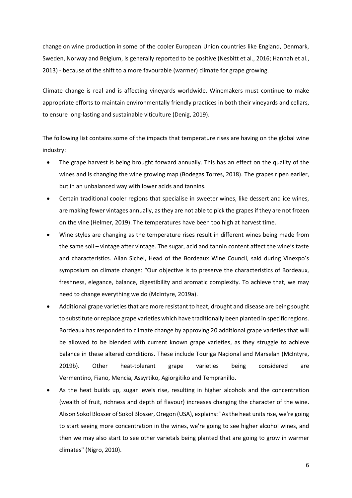change on wine production in some of the cooler European Union countries like England, Denmark, Sweden, Norway and Belgium, is generally reported to be positive (Nesbitt et al., 2016; Hannah et al., 2013) - because of the shift to a more favourable (warmer) climate for grape growing.

Climate change is real and is affecting vineyards worldwide. Winemakers must continue to make appropriate efforts to maintain environmentally friendly practices in both their vineyards and cellars, to ensure long-lasting and sustainable viticulture (Denig, 2019).

The following list contains some of the impacts that temperature rises are having on the global wine industry:

- The grape harvest is being brought forward annually. This has an effect on the quality of the wines and is changing the wine growing map (Bodegas Torres, 2018). The grapes ripen earlier, but in an unbalanced way with lower acids and tannins.
- Certain traditional cooler regions that specialise in sweeter wines, like dessert and ice wines, are making fewer vintages annually, as they are not able to pick the grapes if they are not frozen on the vine (Helmer, 2019). The temperatures have been too high at harvest time.
- Wine styles are changing as the temperature rises result in different wines being made from the same soil – vintage after vintage. The sugar, acid and tannin content affect the wine's taste and characteristics. Allan Sichel, Head of the Bordeaux Wine Council, said during Vinexpo's symposium on climate change: "Our objective is to preserve the characteristics of Bordeaux, freshness, elegance, balance, digestibility and aromatic complexity. To achieve that, we may need to change everything we do (McIntyre, 2019a).
- Additional grape varieties that are more resistant to heat, drought and disease are being sought to substitute or replace grape varieties which have traditionally been planted in specific regions. Bordeaux has responded to climate change by approving 20 additional grape varieties that will be allowed to be blended with current known grape varieties, as they struggle to achieve balance in these altered conditions. These include Touriga Naçional and Marselan (McIntyre, 2019b). Other heat-tolerant grape varieties being considered are Vermentino, Fiano, Mencia, Assyrtiko, Agiorgitiko and Tempranillo.
- As the heat builds up, sugar levels rise, resulting in higher alcohols and the concentration (wealth of fruit, richness and depth of flavour) increases changing the character of the wine. Alison Sokol Blosser of Sokol Blosser, Oregon (USA), explains: "As the heat units rise, we're going to start seeing more concentration in the wines, we're going to see higher alcohol wines, and then we may also start to see other varietals being planted that are going to grow in warmer climates" (Nigro, 2010).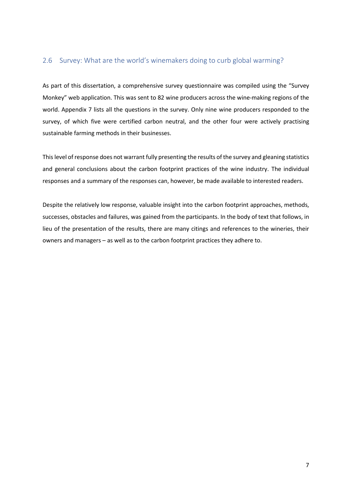# 2.6 Survey: What are the world's winemakers doing to curb global warming?

As part of this dissertation, a comprehensive survey questionnaire was compiled using the "Survey Monkey" web application. This was sent to 82 wine producers across the wine-making regions of the world. Appendix 7 lists all the questions in the survey. Only nine wine producers responded to the survey, of which five were certified carbon neutral, and the other four were actively practising sustainable farming methods in their businesses.

This level of response does not warrant fully presenting the results of the survey and gleaning statistics and general conclusions about the carbon footprint practices of the wine industry. The individual responses and a summary of the responses can, however, be made available to interested readers.

Despite the relatively low response, valuable insight into the carbon footprint approaches, methods, successes, obstacles and failures, was gained from the participants. In the body of text that follows, in lieu of the presentation of the results, there are many citings and references to the wineries, their owners and managers – as well as to the carbon footprint practices they adhere to.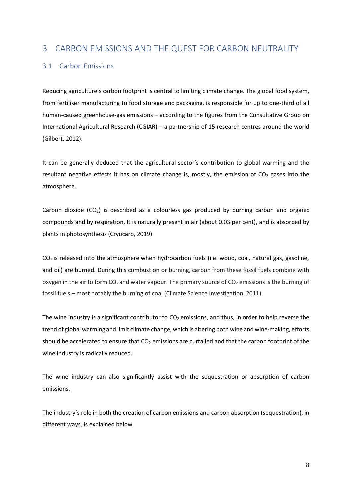# 3 CARBON EMISSIONS AND THE QUEST FOR CARBON NEUTRALITY

# 3.1 Carbon Emissions

Reducing agriculture's carbon footprint is central to limiting climate change. The global food system, from fertiliser manufacturing to food storage and packaging, is responsible for up to one-third of all human-caused greenhouse-gas emissions – according to the figures from the Consultative Group on International Agricultural Research (CGIAR) – a partnership of 15 research centres around the world (Gilbert, 2012).

It can be generally deduced that the agricultural sector's contribution to global warming and the resultant negative effects it has on climate change is, mostly, the emission of  $CO<sub>2</sub>$  gases into the atmosphere.

Carbon dioxide  $(CO_2)$  is described as a colourless gas produced by burning carbon and organic compounds and by respiration. It is naturally present in air (about 0.03 per cent), and is absorbed by plants in photosynthesis (Cryocarb, 2019).

 $CO<sub>2</sub>$  is released into the atmosphere when hydrocarbon fuels (i.e. wood, coal, natural gas, gasoline, and oil) are burned. During this combustion or burning, carbon from these fossil fuels combine with oxygen in the air to form  $CO<sub>2</sub>$  and water vapour. The primary source of  $CO<sub>2</sub>$  emissions is the burning of fossil fuels – most notably the burning of coal (Climate Science Investigation, 2011).

The wine industry is a significant contributor to  $CO<sub>2</sub>$  emissions, and thus, in order to help reverse the trend of global warming and limit climate change, which is altering both wine and wine-making, efforts should be accelerated to ensure that  $CO<sub>2</sub>$  emissions are curtailed and that the carbon footprint of the wine industry is radically reduced.

The wine industry can also significantly assist with the sequestration or absorption of carbon emissions.

The industry's role in both the creation of carbon emissions and carbon absorption (sequestration), in different ways, is explained below.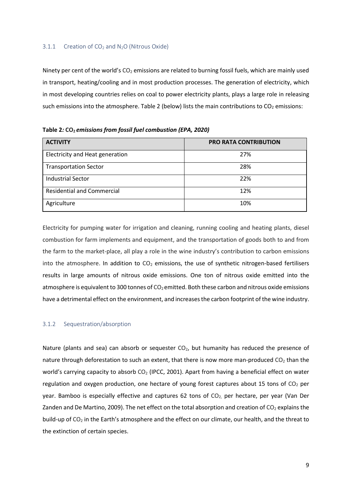#### 3.1.1 Creation of  $CO<sub>2</sub>$  and N<sub>2</sub>O (Nitrous Oxide)

Ninety per cent of the world's  $CO<sub>2</sub>$  emissions are related to burning fossil fuels, which are mainly used in transport, heating/cooling and in most production processes. The generation of electricity, which in most developing countries relies on coal to power electricity plants, plays a large role in releasing such emissions into the atmosphere. Table 2 (below) lists the main contributions to CO<sub>2</sub> emissions:

**ACTIVITY PRO RATA CONTRIBUTION** Electricity and Heat generation 27%

**Table 2***:* **CO2** *emissions from fossil fuel combustion (EPA, 2020)*

| .                                 |     |
|-----------------------------------|-----|
| Electricity and Heat generation   | 27% |
| <b>Transportation Sector</b>      | 28% |
| <b>Industrial Sector</b>          | 22% |
| <b>Residential and Commercial</b> | 12% |
| Agriculture                       | 10% |

Electricity for pumping water for irrigation and cleaning, running cooling and heating plants, diesel combustion for farm implements and equipment, and the transportation of goods both to and from the farm to the market-place, all play a role in the wine industry's contribution to carbon emissions into the atmosphere. In addition to  $CO<sub>2</sub>$  emissions, the use of synthetic nitrogen-based fertilisers results in large amounts of nitrous oxide emissions. One ton of nitrous oxide emitted into the atmosphere is equivalent to 300 tonnes of  $CO<sub>2</sub>$  emitted. Both these carbon and nitrous oxide emissions have a detrimental effect on the environment, and increasesthe carbon footprint of the wine industry.

### 3.1.2 Sequestration/absorption

Nature (plants and sea) can absorb or sequester  $CO<sub>2</sub>$ , but humanity has reduced the presence of nature through deforestation to such an extent, that there is now more man-produced  $CO<sub>2</sub>$  than the world's carrying capacity to absorb CO<sub>2</sub> (IPCC, 2001). Apart from having a beneficial effect on water regulation and oxygen production, one hectare of young forest captures about 15 tons of  $CO<sub>2</sub>$  per year. Bamboo is especially effective and captures 62 tons of CO<sub>2</sub> per hectare, per year (Van Der Zanden and De Martino, 2009). The net effect on the total absorption and creation of  $CO<sub>2</sub>$  explains the build-up of  $CO<sub>2</sub>$  in the Earth's atmosphere and the effect on our climate, our health, and the threat to the extinction of certain species.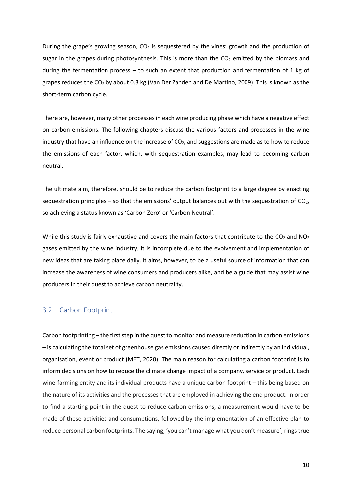During the grape's growing season,  $CO<sub>2</sub>$  is sequestered by the vines' growth and the production of sugar in the grapes during photosynthesis. This is more than the  $CO<sub>2</sub>$  emitted by the biomass and during the fermentation process – to such an extent that production and fermentation of 1 kg of grapes reduces the  $CO<sub>2</sub>$  by about 0.3 kg (Van Der Zanden and De Martino, 2009). This is known as the short-term carbon cycle.

There are, however, many other processesin each wine producing phase which have a negative effect on carbon emissions. The following chapters discuss the various factors and processes in the wine industry that have an influence on the increase of  $CO<sub>2</sub>$ , and suggestions are made as to how to reduce the emissions of each factor, which, with sequestration examples, may lead to becoming carbon neutral.

The ultimate aim, therefore, should be to reduce the carbon footprint to a large degree by enacting sequestration principles – so that the emissions' output balances out with the sequestration of  $CO<sub>2</sub>$ , so achieving a status known as 'Carbon Zero' or 'Carbon Neutral'.

While this study is fairly exhaustive and covers the main factors that contribute to the  $CO<sub>2</sub>$  and NO<sub>2</sub> gases emitted by the wine industry, it is incomplete due to the evolvement and implementation of new ideas that are taking place daily. It aims, however, to be a useful source of information that can increase the awareness of wine consumers and producers alike, and be a guide that may assist wine producers in their quest to achieve carbon neutrality.

# 3.2 Carbon Footprint

Carbon footprinting – the first step in the quest to monitor and measure reduction in carbon emissions – is calculating the total set of greenhouse gas emissions caused directly or indirectly by an individual, organisation, event or product (MET, 2020). The main reason for calculating a carbon footprint is to inform decisions on how to reduce the climate change impact of a company, service or product. Each wine-farming entity and its individual products have a unique carbon footprint – this being based on the nature of its activities and the processes that are employed in achieving the end product. In order to find a starting point in the quest to reduce carbon emissions, a measurement would have to be made of these activities and consumptions, followed by the implementation of an effective plan to reduce personal carbon footprints. The saying, 'you can't manage what you don't measure', rings true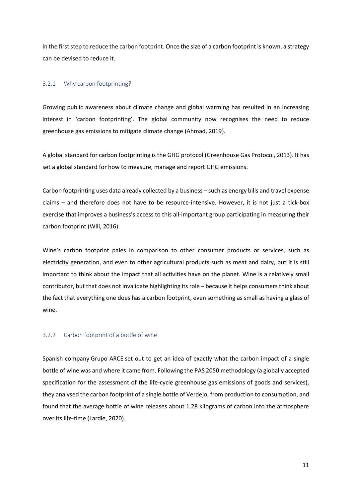in the first step to reduce the carbon footprint. Once the size of a carbon footprint is known, a strategy can be devised to reduce it.

### 3.2.1 Why carbon footprinting?

Growing public awareness about climate change and global warming has resulted in an increasing interest in 'carbon footprinting'. The global community now recognises the need to reduce greenhouse gas emissions to mitigate climate change (Ahmad, 2019).

A global standard for carbon footprinting is the GHG protocol (Greenhouse Gas Protocol, 2013). It has set a global standard for how to measure, manage and report GHG emissions.

Carbon footprinting uses data already collected by a business – such as energy bills and travel expense claims – and therefore does not have to be resource-intensive. However, it is not just a tick-box exercise that improves a business's access to this all-important group participating in measuring their carbon footprint (Will, 2016).

Wine's carbon footprint pales in comparison to other consumer products or services, such as electricity generation, and even to other agricultural products such as meat and dairy, but it is still important to think about the impact that all activities have on the planet. Wine is a relatively small contributor, but that does not invalidate highlighting its role – because it helps consumers think about the fact that everything one does has a carbon footprint, even something as small as having a glass of wine.

#### 3.2.2 Carbon footprint of a bottle of wine

Spanish company Grupo ARCE set out to get an idea of exactly what the carbon impact of a single bottle of wine was and where it came from. Following the PAS 2050 methodology (a globally accepted specification for the assessment of the life-cycle greenhouse gas emissions of goods and services), they analysed the carbon footprint of a single bottle of Verdejo, from production to consumption, and found that the average bottle of wine releases about 1.28 kilograms of carbon into the atmosphere over its life-time (Lardie, 2020).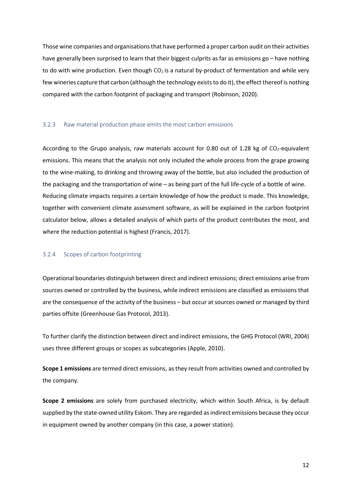Those wine companies and organisations that have performed a proper carbon audit on their activities have generally been surprised to learn that their biggest culprits as far as emissions go – have nothing to do with wine production. Even though  $CO<sub>2</sub>$  is a natural by-product of fermentation and while very few wineries capture that carbon (although the technology exists to do it), the effect thereof is nothing compared with the carbon footprint of packaging and transport (Robinson, 2020).

#### 3.2.3 Raw material production phase emits the most carbon emissions

According to the Grupo analysis, raw materials account for 0.80 out of 1.28 kg of  $CO<sub>2</sub>$ -equivalent emissions. This means that the analysis not only included the whole process from the grape growing to the wine-making, to drinking and throwing away of the bottle, but also included the production of the packaging and the transportation of wine – as being part of the full life-cycle of a bottle of wine. Reducing climate impacts requires a certain knowledge of how the product is made. This knowledge, together with convenient climate assessment software, as will be explained in the carbon footprint calculator below, allows a detailed analysis of which parts of the product contributes the most, and where the reduction potential is highest (Francis, 2017).

#### 3.2.4 Scopes of carbon footprinting

Operational boundaries distinguish between direct and indirect emissions; direct emissions arise from sources owned or controlled by the business, while indirect emissions are classified as emissions that are the consequence of the activity of the business – but occur at sources owned or managed by third parties offsite (Greenhouse Gas Protocol, 2013).

To further clarify the distinction between direct and indirect emissions, the GHG Protocol (WRI, 2004) uses three different groups or scopes as subcategories (Apple, 2010).

**Scope 1 emissions** are termed direct emissions, as they result from activities owned and controlled by the company.

**Scope 2 emissions** are solely from purchased electricity, which within South Africa, is by default supplied by the state-owned utility Eskom. They are regarded as indirect emissions because they occur in equipment owned by another company (in this case, a power station).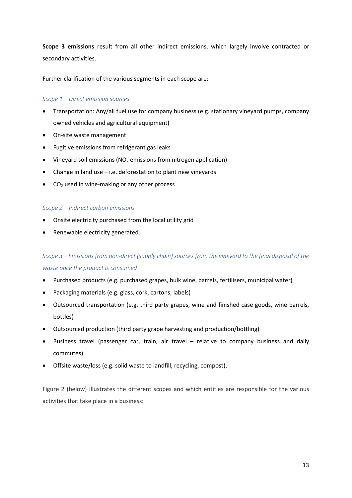**Scope 3 emissions** result from all other indirect emissions, which largely involve contracted or secondary activities.

Further clarification of the various segments in each scope are:

# *Scope 1 – Direct emission sources*

- · Transportation: Any/all fuel use for company business (e.g. stationary vineyard pumps, company owned vehicles and agricultural equipment)
- · On-site waste management
- · Fugitive emissions from refrigerant gas leaks
- Vineyard soil emissions ( $NO<sub>2</sub>$  emissions from nitrogen application)
- · Change in land use i.e. deforestation to plant new vineyards
- $\bullet$  CO<sub>2</sub> used in wine-making or any other process

# *Scope 2 – Indirect carbon emissions*

- · Onsite electricity purchased from the local utility grid
- · Renewable electricity generated

# *Scope 3 – Emissions from non-direct (supply chain) sources from the vineyard to the final disposal of the waste once the product is consumed*

- · Purchased products (e.g. purchased grapes, bulk wine, barrels, fertilisers, municipal water)
- · Packaging materials (e.g. glass, cork, cartons, labels)
- · Outsourced transportation (e.g. third party grapes, wine and finished case goods, wine barrels, bottles)
- · Outsourced production (third party grape harvesting and production/bottling)
- · Business travel (passenger car, train, air travel relative to company business and daily commutes)
- · Offsite waste/loss (e.g. solid waste to landfill, recycling, compost).

Figure 2 (below) illustrates the different scopes and which entities are responsible for the various activities that take place in a business: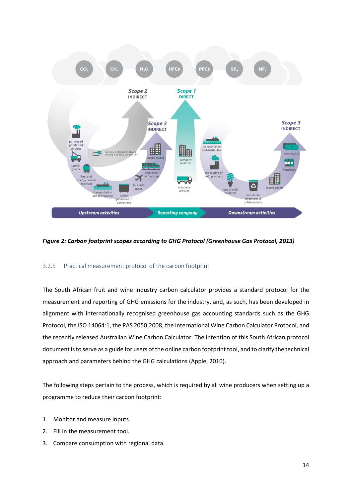

# *Figure 2: Carbon footprint scopes according to GHG Protocol (Greenhouse Gas Protocol, 2013)*

# 3.2.5 Practical measurement protocol of the carbon footprint

The South African fruit and wine industry carbon calculator provides a standard protocol for the measurement and reporting of GHG emissions for the industry, and, as such, has been developed in alignment with internationally recognised greenhouse gas accounting standards such as the GHG Protocol, the ISO 14064:1, the PAS 2050:2008, the International Wine Carbon Calculator Protocol, and the recently released Australian Wine Carbon Calculator. The intention of this South African protocol document is to serve as a guide for users of the online carbon footprint tool, and to clarify the technical approach and parameters behind the GHG calculations (Apple, 2010).

The following steps pertain to the process, which is required by all wine producers when setting up a programme to reduce their carbon footprint:

- 1. Monitor and measure inputs.
- 2. Fill in the measurement tool.
- 3. Compare consumption with regional data.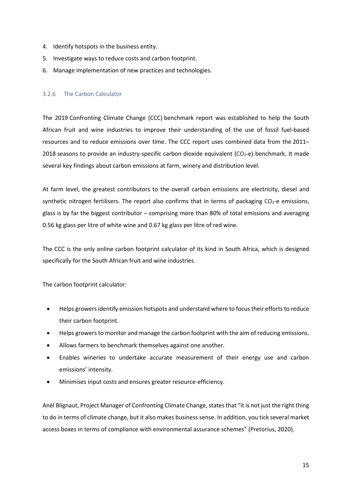- 4. Identify hotspots in the business entity.
- 5. Investigate ways to reduce costs and carbon footprint.
- 6. Manage implementation of new practices and technologies.

# 3.2.6 The Carbon Calculator

The 2019 Confronting Climate Change (CCC) benchmark report was established to help the South African fruit and wine industries to improve their understanding of the use of fossil fuel-based resources and to reduce emissions over time. The CCC report uses combined data from the 2011– 2018 seasons to provide an industry-specific carbon dioxide equivalent  $(CO<sub>2</sub>-e)$  benchmark. It made several key findings about carbon emissions at farm, winery and distribution level.

At farm level, the greatest contributors to the overall carbon emissions are electricity, diesel and synthetic nitrogen fertilisers. The report also confirms that in terms of packaging  $CO<sub>2</sub>$ -e emissions, glass is by far the biggest contributor – comprising more than 80% of total emissions and averaging 0.56 kg glass per litre of white wine and 0.67 kg glass per litre of red wine.

The CCC is the only online carbon footprint calculator of its kind in South Africa, which is designed specifically for the South African fruit and wine industries.

The carbon footprint calculator:

- Helps growers identify emission hotspots and understand where to focus their efforts to reduce their carbon footprint.
- · Helps growers to monitor and manage the carbon footprint with the aim of reducing emissions.
- Allows farmers to benchmark themselves against one another.
- · Enables wineries to undertake accurate measurement of their energy use and carbon emissions' intensity.
- · Minimises input costs and ensures greater resource-efficiency.

Anél Blignaut, Project Manager of Confronting Climate Change, states that "it is not just the right thing to do in terms of climate change, but it also makes business sense. In addition, you tick several market access boxes in terms of compliance with environmental assurance schemes" (Pretorius, 2020).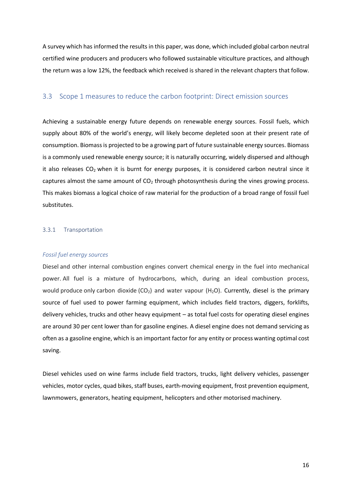A survey which has informed the results in this paper, was done, which included global carbon neutral certified wine producers and producers who followed sustainable viticulture practices, and although the return was a low 12%, the feedback which received is shared in the relevant chapters that follow.

# 3.3 Scope 1 measures to reduce the carbon footprint: Direct emission sources

Achieving a sustainable energy future depends on renewable energy sources. Fossil fuels, which supply about 80% of the world's energy, will likely become depleted soon at their present rate of consumption. Biomass is projected to be a growing part of future sustainable energy sources. Biomass is a commonly used renewable energy source; it is naturally occurring, widely dispersed and although it also releases  $CO<sub>2</sub>$  when it is burnt for energy purposes, it is considered carbon neutral since it captures almost the same amount of  $CO<sub>2</sub>$  through photosynthesis during the vines growing process. This makes biomass a logical choice of raw material for the production of a broad range of fossil fuel substitutes.

### 3.3.1 Transportation

#### *Fossil fuel energy sources*

Diesel and other internal combustion engines convert chemical energy in the fuel into mechanical power. All fuel is a mixture of hydrocarbons, which, during an ideal combustion process, would produce only carbon dioxide ( $CO<sub>2</sub>$ ) and water vapour (H<sub>2</sub>O). Currently, diesel is the primary source of fuel used to power farming equipment, which includes field tractors, diggers, forklifts, delivery vehicles, trucks and other heavy equipment – as total fuel costs for operating diesel engines are around 30 per cent lower than for gasoline engines. A diesel engine does not demand servicing as often as a gasoline engine, which is an important factor for any entity or process wanting optimal cost saving.

Diesel vehicles used on wine farms include field tractors, trucks, light delivery vehicles, passenger vehicles, motor cycles, quad bikes, staff buses, earth-moving equipment, frost prevention equipment, lawnmowers, generators, heating equipment, helicopters and other motorised machinery.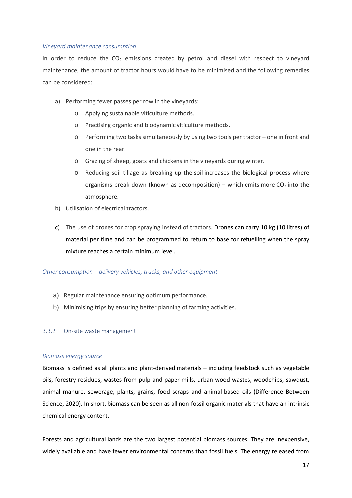#### *Vineyard maintenance consumption*

In order to reduce the  $CO<sub>2</sub>$  emissions created by petrol and diesel with respect to vineyard maintenance, the amount of tractor hours would have to be minimised and the following remedies can be considered:

- a) Performing fewer passes per row in the vineyards:
	- o Applying sustainable viticulture methods.
	- o Practising organic and biodynamic viticulture methods.
	- o Performing two tasks simultaneously by using two tools per tractor one in front and one in the rear.
	- o Grazing of sheep, goats and chickens in the vineyards during winter.
	- o Reducing soil tillage as breaking up the soil increases the biological process where organisms break down (known as decomposition) – which emits more  $CO<sub>2</sub>$  into the atmosphere.
- b) Utilisation of electrical tractors.
- c) The use of drones for crop spraying instead of tractors. Drones can carry 10 kg (10 litres) of material per time and can be programmed to return to base for refuelling when the spray mixture reaches a certain minimum level.

# *Other consumption – delivery vehicles, trucks, and other equipment*

- a) Regular maintenance ensuring optimum performance.
- b) Minimising trips by ensuring better planning of farming activities.

# 3.3.2 On-site waste management

# *Biomass energy source*

Biomass is defined as all plants and plant-derived materials – including feedstock such as vegetable oils, forestry residues, wastes from pulp and paper mills, urban wood wastes, woodchips, sawdust, animal manure, sewerage, plants, grains, food scraps and animal-based oils (Difference Between Science, 2020). In short, biomass can be seen as all non-fossil organic materials that have an intrinsic chemical energy content.

Forests and agricultural lands are the two largest potential biomass sources. They are inexpensive, widely available and have fewer environmental concerns than fossil fuels. The energy released from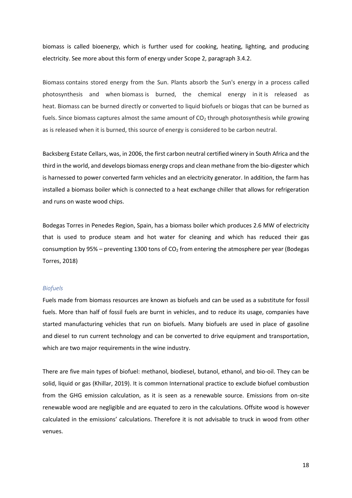biomass is called bioenergy, which is further used for cooking, heating, lighting, and producing electricity. See more about this form of energy under Scope 2, paragraph 3.4.2.

Biomass contains stored energy from the Sun. Plants absorb the Sun's energy in a process called photosynthesis and when biomass is burned, the chemical energy in it is released as heat. Biomass can be burned directly or converted to liquid biofuels or biogas that can be burned as fuels. Since biomass captures almost the same amount of  $CO<sub>2</sub>$  through photosynthesis while growing as is released when it is burned, this source of energy is considered to be carbon neutral.

Backsberg Estate Cellars, was, in 2006, the first carbon neutral certified winery in South Africa and the third in the world, and develops biomass energy crops and clean methane from the bio-digester which is harnessed to power converted farm vehicles and an electricity generator. In addition, the farm has installed a biomass boiler which is connected to a heat exchange chiller that allows for refrigeration and runs on waste wood chips.

Bodegas Torres in Penedes Region, Spain, has a biomass boiler which produces 2.6 MW of electricity that is used to produce steam and hot water for cleaning and which has reduced their gas consumption by 95% – preventing 1300 tons of  $CO<sub>2</sub>$  from entering the atmosphere per year (Bodegas Torres, 2018)

### *Biofuels*

Fuels made from biomass resources are known as biofuels and can be used as a substitute for fossil fuels. More than half of fossil fuels are burnt in vehicles, and to reduce its usage, companies have started manufacturing vehicles that run on biofuels. Many biofuels are used in place of gasoline and diesel to run current technology and can be converted to drive equipment and transportation, which are two major requirements in the wine industry.

There are five main types of biofuel: methanol, biodiesel, butanol, ethanol, and bio-oil. They can be solid, liquid or gas (Khillar, 2019). It is common International practice to exclude biofuel combustion from the GHG emission calculation, as it is seen as a renewable source. Emissions from on-site renewable wood are negligible and are equated to zero in the calculations. Offsite wood is however calculated in the emissions' calculations. Therefore it is not advisable to truck in wood from other venues.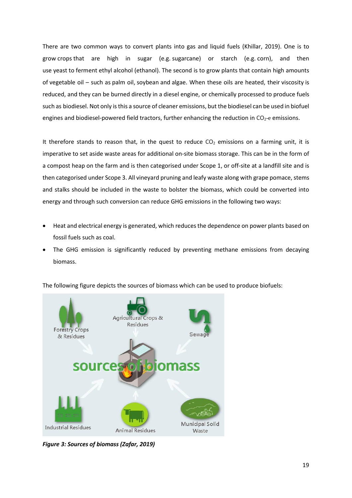There are two common ways to convert plants into gas and liquid fuels (Khillar, 2019). One is to grow crops that are high in sugar (e.g. sugarcane) or starch (e.g. corn), and then use yeast to ferment ethyl alcohol (ethanol). The second is to grow plants that contain high amounts of vegetable oil – such as palm oil, soybean and algae. When these oils are heated, their viscosity is reduced, and they can be burned directly in a diesel engine, or chemically processed to produce fuels such as biodiesel. Not only is this a source of cleaner emissions, but the biodiesel can be used in biofuel engines and biodiesel-powered field tractors, further enhancing the reduction in  $CO<sub>2</sub>$ -e emissions.

It therefore stands to reason that, in the quest to reduce  $CO<sub>2</sub>$  emissions on a farming unit, it is imperative to set aside waste areas for additional on-site biomass storage. This can be in the form of a compost heap on the farm and is then categorised under Scope 1, or off-site at a landfill site and is then categorised under Scope 3. All vineyard pruning and leafy waste along with grape pomace, stems and stalks should be included in the waste to bolster the biomass, which could be converted into energy and through such conversion can reduce GHG emissions in the following two ways:

- · Heat and electrical energy is generated, which reduces the dependence on power plants based on fossil fuels such as coal.
- The GHG emission is significantly reduced by preventing methane emissions from decaying biomass.



The following figure depicts the sources of biomass which can be used to produce biofuels:

*Figure 3: Sources of biomass (Zafar, 2019)*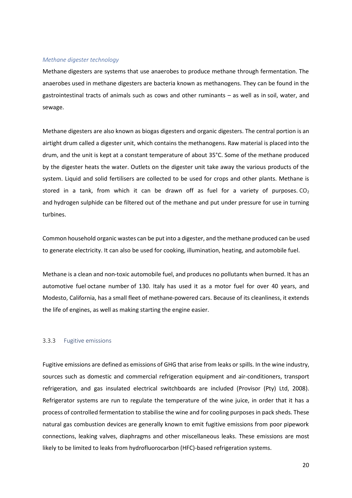#### *Methane digester technology*

Methane digesters are systems that use anaerobes to produce methane through fermentation. The anaerobes used in methane digesters are bacteria known as methanogens. They can be found in the gastrointestinal tracts of animals such as cows and other ruminants – as well as in soil, water, and sewage.

Methane digesters are also known as biogas digesters and organic digesters. The central portion is an airtight drum called a digester unit, which contains the methanogens. Raw material is placed into the drum, and the unit is kept at a constant temperature of about 35°C. Some of the methane produced by the digester heats the water. Outlets on the digester unit take away the various products of the system. Liquid and solid fertilisers are collected to be used for crops and other plants. Methane is stored in a tank, from which it can be drawn off as fuel for a variety of purposes.  $CO<sub>2</sub>$ and hydrogen sulphide can be filtered out of the methane and put under pressure for use in turning turbines.

Common household organic wastes can be put into a digester, and the methane produced can be used to generate electricity. It can also be used for cooking, illumination, heating, and automobile fuel.

Methane is a clean and non-toxic automobile fuel, and produces no pollutants when burned. It has an automotive fuel octane number of 130. Italy has used it as a motor fuel for over 40 years, and Modesto, California, has a small fleet of methane-powered cars. Because of its cleanliness, it extends the life of engines, as well as making starting the engine easier.

#### 3.3.3 Fugitive emissions

Fugitive emissions are defined as emissions of GHG that arise from leaks or spills. In the wine industry, sources such as domestic and commercial refrigeration equipment and air-conditioners, transport refrigeration, and gas insulated electrical switchboards are included (Provisor (Pty) Ltd, 2008). Refrigerator systems are run to regulate the temperature of the wine juice, in order that it has a process of controlled fermentation to stabilise the wine and for cooling purposes in pack sheds. These natural gas combustion devices are generally known to emit fugitive emissions from poor pipework connections, leaking valves, diaphragms and other miscellaneous leaks. These emissions are most likely to be limited to leaks from hydrofluorocarbon (HFC)-based refrigeration systems.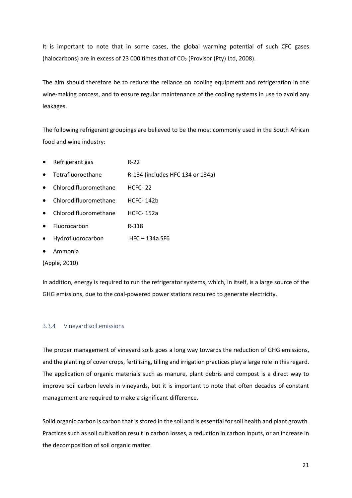It is important to note that in some cases, the global warming potential of such CFC gases (halocarbons) are in excess of 23 000 times that of  $CO<sub>2</sub>$  (Provisor (Pty) Ltd, 2008).

The aim should therefore be to reduce the reliance on cooling equipment and refrigeration in the wine-making process, and to ensure regular maintenance of the cooling systems in use to avoid any leakages.

The following refrigerant groupings are believed to be the most commonly used in the South African food and wine industry:

- Refrigerant gas R-22
- · Tetrafluoroethane R-134 (includes HFC 134 or 134a)
- · Chlorodifluoromethane HCFC- 22
- · Chlorodifluoromethane HCFC- 142b
- · Chlorodifluoromethane HCFC- 152a
- · Fluorocarbon R-318
- · Hydrofluorocarbon HFC 134a SF6
- · Ammonia

(Apple, 2010)

In addition, energy is required to run the refrigerator systems, which, in itself, is a large source of the GHG emissions, due to the coal-powered power stations required to generate electricity.

#### 3.3.4 Vineyard soil emissions

The proper management of vineyard soils goes a long way towards the reduction of GHG emissions, and the planting of cover crops, fertilising, tilling and irrigation practices play a large role in this regard. The application of organic materials such as manure, plant debris and compost is a direct way to improve soil carbon levels in vineyards, but it is important to note that often decades of constant management are required to make a significant difference.

Solid organic carbon is carbon that is stored in the soil and is essential for soil health and plant growth. Practices such as soil cultivation result in carbon losses, a reduction in carbon inputs, or an increase in the decomposition of soil organic matter.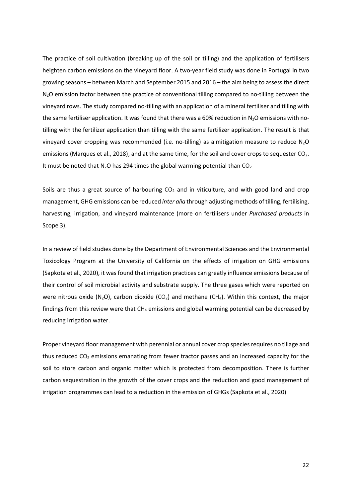The practice of soil cultivation (breaking up of the soil or tilling) and the application of fertilisers heighten carbon emissions on the vineyard floor. A two-year field study was done in Portugal in two growing seasons – between March and September 2015 and 2016 – the aim being to assess the direct N<sub>2</sub>O emission factor between the practice of conventional tilling compared to no-tilling between the vineyard rows. The study compared no-tilling with an application of a mineral fertiliser and tilling with the same fertiliser application. It was found that there was a 60% reduction in  $N_2O$  emissions with notilling with the fertilizer application than tilling with the same fertilizer application. The result is that vineyard cover cropping was recommended (i.e. no-tilling) as a mitigation measure to reduce  $N_2O$ emissions (Marques et al., 2018), and at the same time, for the soil and cover crops to sequester  $CO<sub>2</sub>$ . It must be noted that N<sub>2</sub>O has 294 times the global warming potential than CO<sub>2</sub>.

Soils are thus a great source of harbouring  $CO<sub>2</sub>$  and in viticulture, and with good land and crop management, GHG emissions can be reduced *inter alia* through adjusting methods of tilling, fertilising, harvesting, irrigation, and vineyard maintenance (more on fertilisers under *Purchased products* in Scope 3).

In a review of field studies done by the Department of Environmental Sciences and the Environmental Toxicology Program at the University of California on the effects of irrigation on GHG emissions (Sapkota et al., 2020), it was found that irrigation practices can greatly influence emissions because of their control of soil microbial activity and substrate supply. The three gases which were reported on were nitrous oxide (N<sub>2</sub>O), carbon dioxide (CO<sub>2</sub>) and methane (CH<sub>4</sub>). Within this context, the major findings from this review were that  $CH_4$  emissions and global warming potential can be decreased by reducing irrigation water.

Proper vineyard floor management with perennial or annual cover crop species requires no tillage and thus reduced  $CO<sub>2</sub>$  emissions emanating from fewer tractor passes and an increased capacity for the soil to store carbon and organic matter which is protected from decomposition. There is further carbon sequestration in the growth of the cover crops and the reduction and good management of irrigation programmes can lead to a reduction in the emission of GHGs (Sapkota et al., 2020)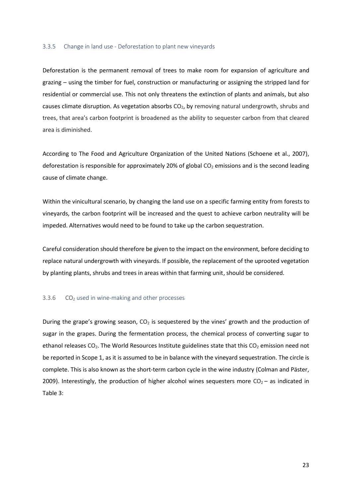#### 3.3.5 Change in land use - Deforestation to plant new vineyards

Deforestation is the permanent removal of trees to make room for expansion of agriculture and grazing – using the timber for fuel, construction or manufacturing or assigning the stripped land for residential or commercial use. This not only threatens the extinction of plants and animals, but also causes climate disruption. As vegetation absorbs  $CO<sub>2</sub>$ , by removing natural undergrowth, shrubs and trees, that area's carbon footprint is broadened as the ability to sequester carbon from that cleared area is diminished.

According to The Food and Agriculture Organization of the United Nations (Schoene et al., 2007), deforestation is responsible for approximately 20% of global  $CO<sub>2</sub>$  emissions and is the second leading cause of climate change.

Within the vinicultural scenario, by changing the land use on a specific farming entity from forests to vineyards, the carbon footprint will be increased and the quest to achieve carbon neutrality will be impeded. Alternatives would need to be found to take up the carbon sequestration.

Careful consideration should therefore be given to the impact on the environment, before deciding to replace natural undergrowth with vineyards. If possible, the replacement of the uprooted vegetation by planting plants, shrubs and trees in areas within that farming unit, should be considered.

#### 3.3.6 CO<sup>2</sup> used in wine-making and other processes

During the grape's growing season,  $CO<sub>2</sub>$  is sequestered by the vines' growth and the production of sugar in the grapes. During the fermentation process, the chemical process of converting sugar to ethanol releases  $CO_2$ . The World Resources Institute guidelines state that this  $CO_2$  emission need not be reported in Scope 1, as it is assumed to be in balance with the vineyard sequestration. The circle is complete. This is also known as the short-term carbon cycle in the wine industry (Colman and Päster, 2009). Interestingly, the production of higher alcohol wines sequesters more  $CO<sub>2</sub> -$  as indicated in Table 3: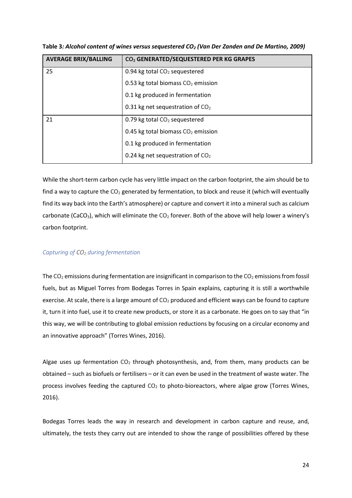| <b>AVERAGE BRIX/BALLING</b> | CO <sub>2</sub> GENERATED/SEQUESTERED PER KG GRAPES |
|-----------------------------|-----------------------------------------------------|
| 25                          | 0.94 kg total $CO2$ sequestered                     |
|                             | 0.53 kg total biomass $CO2$ emission                |
|                             | 0.1 kg produced in fermentation                     |
|                             | 0.31 kg net sequestration of $CO2$                  |
| 21                          | 0.79 kg total $CO2$ sequestered                     |
|                             | 0.45 kg total biomass $CO2$ emission                |
|                             | 0.1 kg produced in fermentation                     |
|                             | 0.24 kg net sequestration of $CO2$                  |

**Table 3***: Alcohol content of wines versus sequestered CO<sup>2</sup> (Van Der Zanden and De Martino, 2009)*

While the short-term carbon cycle has very little impact on the carbon footprint, the aim should be to find a way to capture the  $CO<sub>2</sub>$  generated by fermentation, to block and reuse it (which will eventually find its way back into the Earth's atmosphere) or capture and convert it into a mineral such as calcium carbonate (CaCO<sub>3</sub>), which will eliminate the CO<sub>2</sub> forever. Both of the above will help lower a winery's carbon footprint.

# *Capturing of CO<sup>2</sup> during fermentation*

The  $CO<sub>2</sub>$  emissions during fermentation are insignificant in comparison to the  $CO<sub>2</sub>$  emissions from fossil fuels, but as Miguel Torres from Bodegas Torres in Spain explains, capturing it is still a worthwhile exercise. At scale, there is a large amount of CO<sub>2</sub> produced and efficient ways can be found to capture it, turn it into fuel, use it to create new products, or store it as a carbonate. He goes on to say that "in this way, we will be contributing to global emission reductions by focusing on a circular economy and an innovative approach" (Torres Wines, 2016).

Algae uses up fermentation  $CO<sub>2</sub>$  through photosynthesis, and, from them, many products can be obtained – such as biofuels or fertilisers – or it can even be used in the treatment of waste water. The process involves feeding the captured  $CO<sub>2</sub>$  to photo-bioreactors, where algae grow (Torres Wines, 2016).

Bodegas Torres leads the way in research and development in carbon capture and reuse, and, ultimately, the tests they carry out are intended to show the range of possibilities offered by these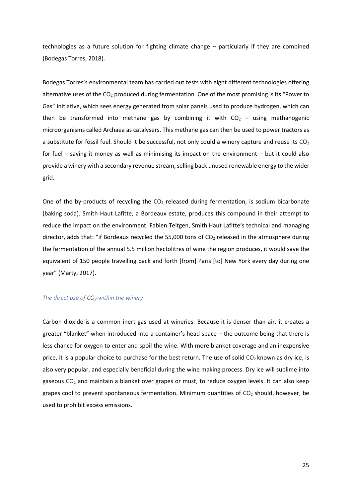technologies as a future solution for fighting climate change – particularly if they are combined (Bodegas Torres, 2018).

Bodegas Torres's environmental team has carried out tests with eight different technologies offering alternative uses of the  $CO<sub>2</sub>$  produced during fermentation. One of the most promising is its "Power to Gas" initiative, which sees energy generated from solar panels used to produce hydrogen, which can then be transformed into methane gas by combining it with  $CO<sub>2</sub>$  – using methanogenic microorganisms called Archaea as catalysers. This methane gas can then be used to power tractors as a substitute for fossil fuel. Should it be successful, not only could a winery capture and reuse its  $CO<sub>2</sub>$ for fuel – saving it money as well as minimising its impact on the environment – but it could also provide a winery with a secondary revenue stream, selling back unused renewable energy to the wider grid.

One of the by-products of recycling the  $CO<sub>2</sub>$  released during fermentation, is sodium bicarbonate (baking soda). Smith Haut Lafitte, a Bordeaux estate, produces this compound in their attempt to reduce the impact on the environment. Fabien Teitgen, Smith Haut Lafitte's technical and managing director, adds that: "if Bordeaux recycled the 55,000 tons of  $CO<sub>2</sub>$  released in the atmosphere during the fermentation of the annual 5.5 million hectolitres of wine the region produces, it would save the equivalent of 150 people travelling back and forth [from] Paris [to] New York every day during one year" (Marty, 2017).

#### *The direct use of CO<sup>2</sup> within the winery*

Carbon dioxide is a common inert gas used at wineries. Because it is denser than air, it creates a greater "blanket" when introduced into a container's head space – the outcome being that there is less chance for oxygen to enter and spoil the wine. With more blanket coverage and an inexpensive price, it is a popular choice to purchase for the best return. The use of solid  $CO<sub>2</sub>$  known as dry ice, is also very popular, and especially beneficial during the wine making process. Dry ice will sublime into gaseous  $CO<sub>2</sub>$  and maintain a blanket over grapes or must, to reduce oxygen levels. It can also keep grapes cool to prevent spontaneous fermentation. Minimum quantities of  $CO<sub>2</sub>$  should, however, be used to prohibit excess emissions.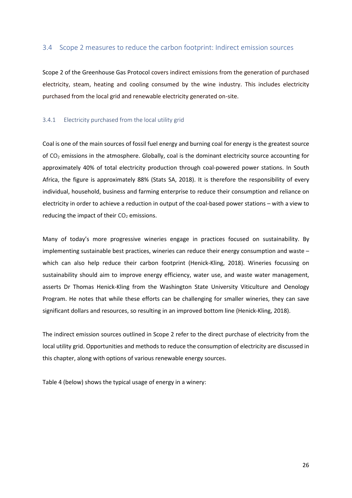# 3.4 Scope 2 measures to reduce the carbon footprint: Indirect emission sources

Scope 2 of the Greenhouse Gas Protocol covers indirect emissions from the generation of purchased electricity, steam, heating and cooling consumed by the wine industry. This includes electricity purchased from the local grid and renewable electricity generated on-site.

### 3.4.1 Electricity purchased from the local utility grid

Coal is one of the main sources of fossil fuel energy and burning coal for energy is the greatest source of CO<sup>2</sup> emissions in the atmosphere. Globally, coal is the dominant electricity source accounting for approximately 40% of total electricity production through coal-powered power stations. In South Africa, the figure is approximately 88% (Stats SA, 2018). It is therefore the responsibility of every individual, household, business and farming enterprise to reduce their consumption and reliance on electricity in order to achieve a reduction in output of the coal-based power stations – with a view to reducing the impact of their  $CO<sub>2</sub>$  emissions.

Many of today's more progressive wineries engage in practices focused on sustainability. By implementing sustainable best practices, wineries can reduce their energy consumption and waste – which can also help reduce their carbon footprint (Henick-Kling, 2018). Wineries focussing on sustainability should aim to improve energy efficiency, water use, and waste water management, asserts Dr Thomas Henick-Kling from the Washington State University Viticulture and Oenology Program. He notes that while these efforts can be challenging for smaller wineries, they can save significant dollars and resources, so resulting in an improved bottom line (Henick-Kling, 2018).

The indirect emission sources outlined in Scope 2 refer to the direct purchase of electricity from the local utility grid. Opportunities and methods to reduce the consumption of electricity are discussed in this chapter, along with options of various renewable energy sources.

Table 4 (below) shows the typical usage of energy in a winery: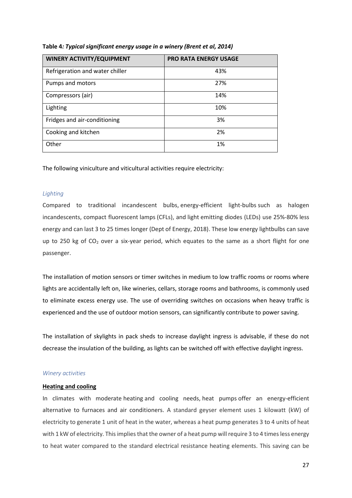| <b>WINERY ACTIVITY/EQUIPMENT</b> | <b>PRO RATA ENERGY USAGE</b> |
|----------------------------------|------------------------------|
| Refrigeration and water chiller  | 43%                          |
| Pumps and motors                 | 27%                          |
| Compressors (air)                | 14%                          |
| Lighting                         | 10%                          |
| Fridges and air-conditioning     | 3%                           |
| Cooking and kitchen              | 2%                           |
| Other                            | 1%                           |

### **Table 4***: Typical significant energy usage in a winery (Brent et al, 2014)*

The following viniculture and viticultural activities require electricity:

### *Lighting*

Compared to traditional incandescent bulbs, energy-efficient light-bulbs such as halogen incandescents, compact fluorescent lamps (CFLs), and light emitting diodes (LEDs) use 25%-80% less energy and can last 3 to 25 times longer (Dept of Energy, 2018). These low energy lightbulbs can save up to 250 kg of  $CO<sub>2</sub>$  over a six-year period, which equates to the same as a short flight for one passenger.

The installation of motion sensors or timer switches in medium to low traffic rooms or rooms where lights are accidentally left on, like wineries, cellars, storage rooms and bathrooms, is commonly used to eliminate excess energy use. The use of overriding switches on occasions when heavy traffic is experienced and the use of outdoor motion sensors, can significantly contribute to power saving.

The installation of skylights in pack sheds to increase daylight ingress is advisable, if these do not decrease the insulation of the building, as lights can be switched off with effective daylight ingress.

#### *Winery activities*

#### **Heating and cooling**

In climates with moderate heating and cooling needs, heat pumps offer an energy-efficient alternative to furnaces and air conditioners. A standard geyser element uses 1 kilowatt (kW) of electricity to generate 1 unit of heat in the water, whereas a heat pump generates 3 to 4 units of heat with 1 kW of electricity. This implies that the owner of a heat pump will require 3 to 4 times less energy to heat water compared to the standard electrical resistance heating elements. This saving can be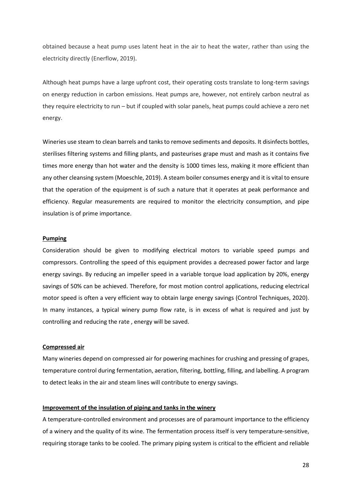obtained because a heat pump uses latent heat in the air to heat the water, rather than using the electricity directly (Enerflow, 2019).

Although heat pumps have a large upfront cost, their operating costs translate to long-term savings on energy reduction in carbon emissions. Heat pumps are, however, not entirely carbon neutral as they require electricity to run – but if coupled with solar panels, heat pumps could achieve a zero net energy.

Wineries use steam to clean barrels and tanks to remove sediments and deposits. It disinfects bottles, sterilises filtering systems and filling plants, and pasteurises grape must and mash as it contains five times more energy than hot water and the density is 1000 times less, making it more efficient than any other cleansing system (Moeschle, 2019). A steam boiler consumes energy and it is vital to ensure that the operation of the equipment is of such a nature that it operates at peak performance and efficiency. Regular measurements are required to monitor the electricity consumption, and pipe insulation is of prime importance.

#### **Pumping**

Consideration should be given to modifying electrical motors to variable speed pumps and compressors. Controlling the speed of this equipment provides a decreased power factor and large energy savings. By reducing an impeller speed in a variable torque load application by 20%, energy savings of 50% can be achieved. Therefore, for most motion control applications, reducing electrical motor speed is often a very efficient way to obtain large energy savings (Control Techniques, 2020). In many instances, a typical winery pump flow rate, is in excess of what is required and just by controlling and reducing the rate , energy will be saved.

#### **Compressed air**

Many wineries depend on compressed air for powering machines for crushing and pressing of grapes, temperature control during fermentation, aeration, filtering, bottling, filling, and labelling. A program to detect leaks in the air and steam lines will contribute to energy savings.

#### **Improvement of the insulation of piping and tanks in the winery**

A temperature-controlled environment and processes are of paramount importance to the efficiency of a winery and the quality of its wine. The fermentation process itself is very temperature-sensitive, requiring storage tanks to be cooled. The primary piping system is critical to the efficient and reliable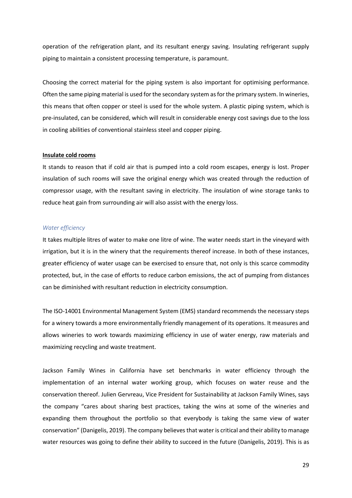operation of the refrigeration plant, and its resultant energy saving. Insulating refrigerant supply piping to maintain a consistent processing temperature, is paramount.

Choosing the correct material for the piping system is also important for optimising performance. Often the same piping material is used for the secondary system as for the primary system. In wineries, this means that often copper or steel is used for the whole system. A plastic piping system, which is pre-insulated, can be considered, which will result in considerable energy cost savings due to the loss in cooling abilities of conventional stainless steel and copper piping.

## **Insulate cold rooms**

It stands to reason that if cold air that is pumped into a cold room escapes, energy is lost. Proper insulation of such rooms will save the original energy which was created through the reduction of compressor usage, with the resultant saving in electricity. The insulation of wine storage tanks to reduce heat gain from surrounding air will also assist with the energy loss.

#### *Water efficiency*

It takes multiple litres of water to make one litre of wine. The water needs start in the vineyard with irrigation, but it is in the winery that the requirements thereof increase. In both of these instances, greater efficiency of water usage can be exercised to ensure that, not only is this scarce commodity protected, but, in the case of efforts to reduce carbon emissions, the act of pumping from distances can be diminished with resultant reduction in electricity consumption.

The ISO-14001 Environmental Management System (EMS) standard recommendsthe necessary steps for a winery towards a more environmentally friendly management of its operations. It measures and allows wineries to work towards maximizing efficiency in use of water energy, raw materials and maximizing recycling and waste treatment.

Jackson Family Wines in California have set benchmarks in water efficiency through the implementation of an internal water working group, which focuses on water reuse and the conservation thereof. Julien Gervreau, Vice President for Sustainability at Jackson Family Wines, says the company "cares about sharing best practices, taking the wins at some of the wineries and expanding them throughout the portfolio so that everybody is taking the same view of water conservation" (Danigelis, 2019). The company believes that water is critical and their ability to manage water resources was going to define their ability to succeed in the future (Danigelis, 2019). This is as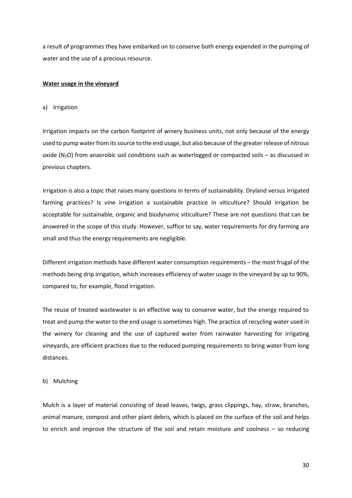a result of programmes they have embarked on to conserve both energy expended in the pumping of water and the use of a precious resource.

## **Water usage in the vineyard**

## a) Irrigation

Irrigation impacts on the carbon footprint of winery business units, not only because of the energy used to pump water from its source to the end usage, but also because of the greater release of nitrous oxide ( $N_2O$ ) from anaerobic soil conditions such as waterlogged or compacted soils – as discussed in previous chapters.

Irrigation is also a topic that raises many questions in terms of sustainability. Dryland versus irrigated farming practices? Is vine irrigation a sustainable practice in viticulture? Should irrigation be acceptable for sustainable, organic and biodynamic viticulture? These are not questions that can be answered in the scope of this study. However, suffice to say, water requirements for dry farming are small and thus the energy requirements are negligible.

Different irrigation methods have different water consumption requirements – the most frugal of the methods being drip irrigation, which increases efficiency of water usage in the vineyard by up to 90%, compared to, for example, flood irrigation.

The reuse of treated wastewater is an effective way to conserve water, but the energy required to treat and pump the water to the end usage is sometimes high. The practice of recycling water used in the winery for cleaning and the use of captured water from rainwater harvesting for irrigating vineyards, are efficient practices due to the reduced pumping requirements to bring water from long distances.

#### b) Mulching

Mulch is a layer of material consisting of dead leaves, twigs, grass clippings, hay, straw, branches, animal manure, compost and other plant debris, which is placed on the surface of the soil and helps to enrich and improve the structure of the soil and retain moisture and coolness – so reducing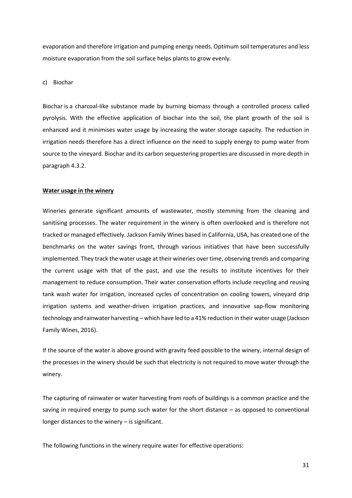evaporation and therefore irrigation and pumping energy needs. Optimum soil temperatures and less moisture evaporation from the soil surface helps plants to grow evenly.

## c) Biochar

Biochar is a charcoal-like substance made by burning biomass through a controlled process called pyrolysis. With the effective application of biochar into the soil, the plant growth of the soil is enhanced and it minimises water usage by increasing the water storage capacity. The reduction in irrigation needs therefore has a direct influence on the need to supply energy to pump water from source to the vineyard. Biochar and its carbon sequestering properties are discussed in more depth in paragraph 4.3.2.

#### **Water usage in the winery**

Wineries generate significant amounts of wastewater, mostly stemming from the cleaning and sanitising processes. The water requirement in the winery is often overlooked and is therefore not tracked or managed effectively. Jackson Family Wines based in California, USA, has created one of the benchmarks on the water savings front, through various initiatives that have been successfully implemented. They track the water usage at their wineries over time, observing trends and comparing the current usage with that of the past, and use the results to institute incentives for their management to reduce consumption. Their water conservation efforts include recycling and reusing tank wash water for irrigation, increased cycles of concentration on cooling towers, vineyard drip irrigation systems and weather-driven irrigation practices, and innovative sap-flow monitoring technology and rainwater harvesting – which have led to a 41% reduction in their water usage (Jackson Family Wines, 2016).

If the source of the water is above ground with gravity feed possible to the winery, internal design of the processes in the winery should be such that electricity is not required to move water through the winery.

The capturing of rainwater or water harvesting from roofs of buildings is a common practice and the saving in required energy to pump such water for the short distance – as opposed to conventional longer distances to the winery – is significant.

The following functions in the winery require water for effective operations: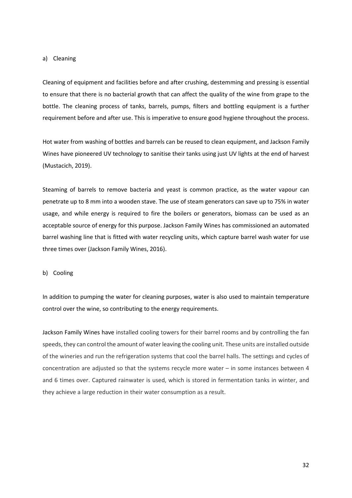#### a) Cleaning

Cleaning of equipment and facilities before and after crushing, destemming and pressing is essential to ensure that there is no bacterial growth that can affect the quality of the wine from grape to the bottle. The cleaning process of tanks, barrels, pumps, filters and bottling equipment is a further requirement before and after use. This is imperative to ensure good hygiene throughout the process.

Hot water from washing of bottles and barrels can be reused to clean equipment, and Jackson Family Wines have pioneered UV technology to sanitise their tanks using just UV lights at the end of harvest (Mustacich, 2019).

Steaming of barrels to remove bacteria and yeast is common practice, as the water vapour can penetrate up to 8 mm into a wooden stave. The use of steam generators can save up to 75% in water usage, and while energy is required to fire the boilers or generators, biomass can be used as an acceptable source of energy for this purpose. Jackson Family Wines has commissioned an automated barrel washing line that is fitted with water recycling units, which capture barrel wash water for use three times over (Jackson Family Wines, 2016).

b) Cooling

In addition to pumping the water for cleaning purposes, water is also used to maintain temperature control over the wine, so contributing to the energy requirements.

Jackson Family Wines have installed cooling towers for their barrel rooms and by controlling the fan speeds, they can control the amount of water leaving the cooling unit. These units are installed outside of the wineries and run the refrigeration systems that cool the barrel halls. The settings and cycles of concentration are adjusted so that the systems recycle more water – in some instances between 4 and 6 times over. Captured rainwater is used, which is stored in fermentation tanks in winter, and they achieve a large reduction in their water consumption as a result.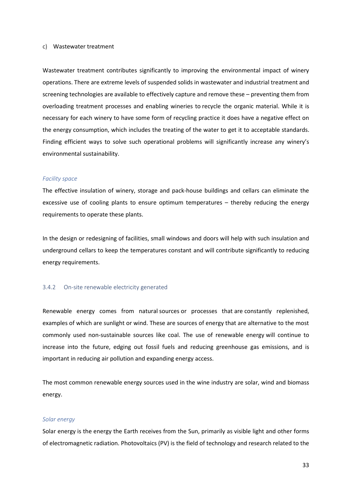#### c) Wastewater treatment

Wastewater treatment contributes significantly to improving the environmental impact of winery operations. There are extreme levels of suspended solids in wastewater and industrial treatment and screening technologies are available to effectively capture and remove these – preventing them from overloading treatment processes and enabling wineries to recycle the organic material. While it is necessary for each winery to have some form of recycling practice it does have a negative effect on the energy consumption, which includes the treating of the water to get it to acceptable standards. Finding efficient ways to solve such operational problems will significantly increase any winery's environmental sustainability.

## *Facility space*

The effective insulation of winery, storage and pack-house buildings and cellars can eliminate the excessive use of cooling plants to ensure optimum temperatures – thereby reducing the energy requirements to operate these plants.

In the design or redesigning of facilities, small windows and doors will help with such insulation and underground cellars to keep the temperatures constant and will contribute significantly to reducing energy requirements.

## 3.4.2 On-site renewable electricity generated

Renewable energy comes from natural sources or processes that are constantly replenished, examples of which are sunlight or wind. These are sources of energy that are alternative to the most commonly used non-sustainable sources like coal. The use of renewable energy will continue to increase into the future, edging out fossil fuels and reducing greenhouse gas emissions, and is important in reducing air pollution and expanding energy access.

The most common renewable energy sources used in the wine industry are solar, wind and biomass energy.

## *Solar energy*

Solar energy is the energy the Earth receives from the Sun, primarily as visible light and other forms of electromagnetic radiation. Photovoltaics (PV) is the field of technology and research related to the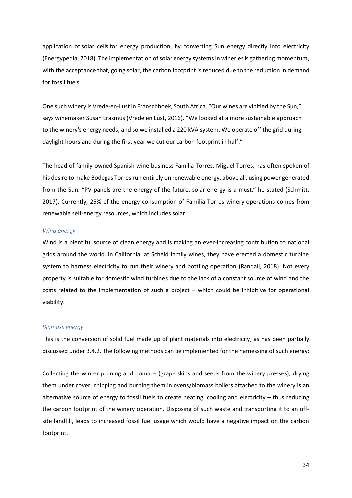application of solar cells for energy production, by converting Sun energy directly into electricity (Energypedia, 2018). The implementation of solar energy systems in wineries is gathering momentum, with the acceptance that, going solar, the carbon footprint is reduced due to the reduction in demand for fossil fuels.

One such winery is Vrede-en-Lust in Franschhoek, South Africa. "Our wines are vinified by the Sun," says winemaker Susan Erasmus (Vrede en Lust, 2016). "We looked at a more sustainable approach to the winery's energy needs, and so we installed a 220 kVA system. We operate off the grid during daylight hours and during the first year we cut our carbon footprint in half."

The head of family-owned Spanish wine business Familia Torres, Miguel Torres, has often spoken of his desire to make Bodegas Torres run entirely on renewable energy, above all, using power generated from the Sun. "PV panels are the energy of the future, solar energy is a must," he stated (Schmitt, 2017). Currently, 25% of the energy consumption of Familia Torres winery operations comes from renewable self-energy resources, which includes solar.

## *Wind energy*

Wind is a plentiful source of clean energy and is making an ever-increasing contribution to national grids around the world. In California, at Scheid family wines, they have erected a domestic turbine system to harness electricity to run their winery and bottling operation (Randall, 2018). Not every property is suitable for domestic wind turbines due to the lack of a constant source of wind and the costs related to the implementation of such a project – which could be inhibitive for operational viability.

#### *Biomass energy*

This is the conversion of solid fuel made up of plant materials into electricity, as has been partially discussed under 3.4.2. The following methods can be implemented for the harnessing of such energy:

Collecting the winter pruning and pomace (grape skins and seeds from the winery presses), drying them under cover, chipping and burning them in ovens/biomass boilers attached to the winery is an alternative source of energy to fossil fuels to create heating, cooling and electricity – thus reducing the carbon footprint of the winery operation. Disposing of such waste and transporting it to an offsite landfill, leads to increased fossil fuel usage which would have a negative impact on the carbon footprint.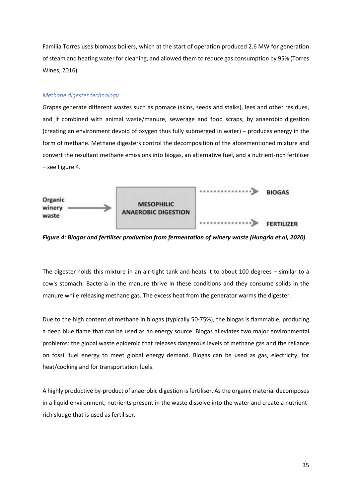Familia Torres uses biomass boilers, which at the start of operation produced 2.6 MW for generation of steam and heating water for cleaning, and allowed them to reduce gas consumption by 95% (Torres Wines, 2016).

## *Methane digester technology*

Grapes generate different wastes such as pomace (skins, seeds and stalks), lees and other residues, and if combined with animal waste/manure, sewerage and food scraps, by anaerobic digestion (creating an environment devoid of oxygen thus fully submerged in water) – produces energy in the form of methane. Methane digesters control the decomposition of the aforementioned mixture and convert the resultant methane emissions into biogas, an alternative fuel, and a nutrient-rich fertiliser – see Figure 4.



*Figure 4: Biogas and fertiliser production from fermentation of winery waste (Hungria et al, 2020)*

The digester holds this mixture in an air-tight tank and heats it to about 100 degrees – similar to a cow's stomach. Bacteria in the manure thrive in these conditions and they consume solids in the manure while releasing methane gas. The excess heat from the generator warms the digester.

Due to the high content of methane in biogas (typically 50-75%), the biogas is flammable, producing a deep blue flame that can be used as an energy source. Biogas alleviates two major environmental problems: the global waste epidemic that releases dangerous levels of methane gas and the reliance on fossil fuel energy to meet global energy demand. Biogas can be used as gas, electricity, for heat/cooking and for transportation fuels.

A highly productive by-product of anaerobic digestion is fertiliser. As the organic material decomposes in a liquid environment, nutrients present in the waste dissolve into the water and create a nutrientrich sludge that is used as fertiliser.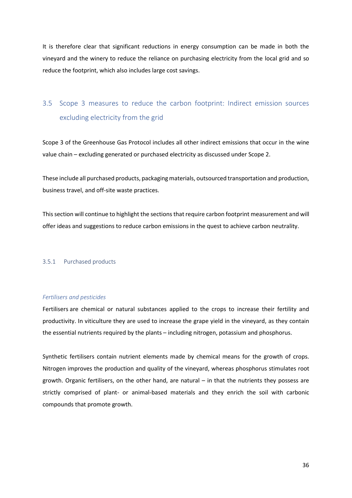It is therefore clear that significant reductions in energy consumption can be made in both the vineyard and the winery to reduce the reliance on purchasing electricity from the local grid and so reduce the footprint, which also includes large cost savings.

# 3.5 Scope 3 measures to reduce the carbon footprint: Indirect emission sources excluding electricity from the grid

Scope 3 of the Greenhouse Gas Protocol includes all other indirect emissions that occur in the wine value chain – excluding generated or purchased electricity as discussed under Scope 2.

These include all purchased products, packaging materials, outsourced transportation and production, business travel, and off-site waste practices.

This section will continue to highlight the sections that require carbon footprint measurement and will offer ideas and suggestions to reduce carbon emissions in the quest to achieve carbon neutrality.

## 3.5.1 Purchased products

#### *Fertilisers and pesticides*

Fertilisers are chemical or natural substances applied to the crops to increase their fertility and productivity. In viticulture they are used to increase the grape yield in the vineyard, as they contain the essential nutrients required by the plants – including nitrogen, potassium and phosphorus.

Synthetic fertilisers contain nutrient elements made by chemical means for the growth of crops. Nitrogen improves the production and quality of the vineyard, whereas phosphorus stimulates root growth. Organic fertilisers, on the other hand, are natural – in that the nutrients they possess are strictly comprised of plant- or animal-based materials and they enrich the soil with carbonic compounds that promote growth.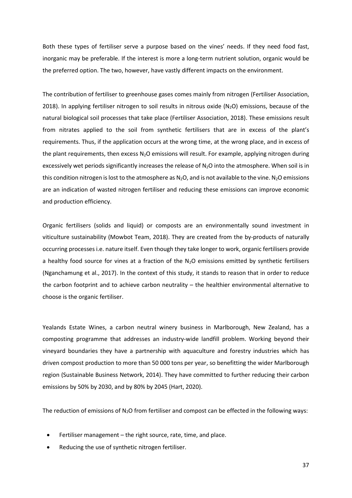Both these types of fertiliser serve a purpose based on the vines' needs. If they need food fast, inorganic may be preferable. If the interest is more a long-term nutrient solution, organic would be the preferred option. The two, however, have vastly different impacts on the environment.

The contribution of fertiliser to greenhouse gases comes mainly from nitrogen (Fertiliser Association, 2018). In applying fertiliser nitrogen to soil results in nitrous oxide  $(N_2O)$  emissions, because of the natural biological soil processes that take place (Fertiliser Association, 2018). These emissions result from nitrates applied to the soil from synthetic fertilisers that are in excess of the plant's requirements. Thus, if the application occurs at the wrong time, at the wrong place, and in excess of the plant requirements, then excess  $N_2O$  emissions will result. For example, applying nitrogen during excessively wet periods significantly increases the release of N<sub>2</sub>O into the atmosphere. When soil is in this condition nitrogen is lost to the atmosphere as  $N_2O$ , and is not available to the vine.  $N_2O$  emissions are an indication of wasted nitrogen fertiliser and reducing these emissions can improve economic and production efficiency.

Organic fertilisers (solids and liquid) or composts are an environmentally sound investment in viticulture sustainability (Mowbot Team, 2018). They are created from the by-products of naturally occurring processes i.e. nature itself. Even though they take longer to work, organic fertilisers provide a healthy food source for vines at a fraction of the N<sub>2</sub>O emissions emitted by synthetic fertilisers (Nganchamung et al., 2017). In the context of this study, it stands to reason that in order to reduce the carbon footprint and to achieve carbon neutrality – the healthier environmental alternative to choose is the organic fertiliser.

Yealands Estate Wines, a carbon neutral winery business in Marlborough, New Zealand, has a composting programme that addresses an industry-wide landfill problem. Working beyond their vineyard boundaries they have a partnership with aquaculture and forestry industries which has driven compost production to more than 50 000 tons per year, so benefitting the wider Marlborough region (Sustainable Business Network, 2014). They have committed to further reducing their carbon emissions by 50% by 2030, and by 80% by 2045 (Hart, 2020).

The reduction of emissions of N<sub>2</sub>O from fertiliser and compost can be effected in the following ways:

- Fertiliser management the right source, rate, time, and place.
- Reducing the use of synthetic nitrogen fertiliser.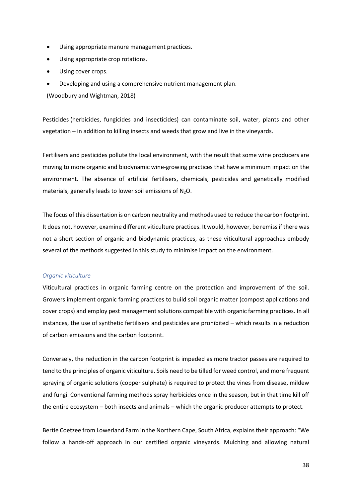- Using appropriate manure management practices.
- Using appropriate crop rotations.
- Using cover crops.
- · Developing and using a comprehensive nutrient management plan.

(Woodbury and Wightman, 2018)

Pesticides (herbicides, fungicides and insecticides) can contaminate soil, water, plants and other vegetation – in addition to killing insects and weeds that grow and live in the vineyards.

Fertilisers and pesticides pollute the local environment, with the result that some wine producers are moving to more organic and biodynamic wine-growing practices that have a minimum impact on the environment. The absence of artificial fertilisers, chemicals, pesticides and genetically modified materials, generally leads to lower soil emissions of N2O.

The focus of this dissertation is on carbon neutrality and methods used to reduce the carbon footprint. It does not, however, examine different viticulture practices. It would, however, be remiss if there was not a short section of organic and biodynamic practices, as these viticultural approaches embody several of the methods suggested in this study to minimise impact on the environment.

## *Organic viticulture*

Viticultural practices in organic farming centre on the protection and improvement of the soil. Growers implement organic farming practices to build soil organic matter (compost applications and cover crops) and employ pest management solutions compatible with organic farming practices. In all instances, the use of synthetic fertilisers and pesticides are prohibited – which results in a reduction of carbon emissions and the carbon footprint.

Conversely, the reduction in the carbon footprint is impeded as more tractor passes are required to tend to the principles of organic viticulture. Soils need to be tilled for weed control, and more frequent spraying of organic solutions (copper sulphate) is required to protect the vines from disease, mildew and fungi. Conventional farming methods spray herbicides once in the season, but in that time kill off the entire ecosystem – both insects and animals – which the organic producer attempts to protect.

Bertie Coetzee from Lowerland Farm in the Northern Cape, South Africa, explains their approach: "We follow a hands-off approach in our certified organic vineyards. Mulching and allowing natural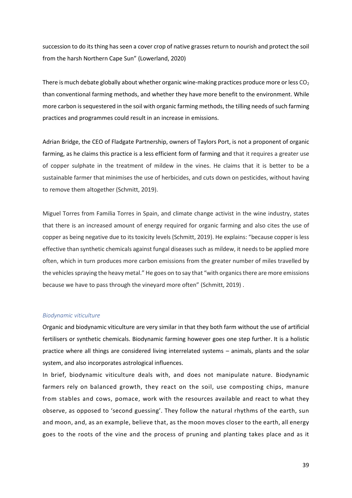succession to do its thing has seen a cover crop of native grasses return to nourish and protect the soil from the harsh Northern Cape Sun" (Lowerland, 2020)

There is much debate globally about whether organic wine-making practices produce more or less  $CO<sub>2</sub>$ than conventional farming methods, and whether they have more benefit to the environment. While more carbon is sequestered in the soil with organic farming methods, the tilling needs of such farming practices and programmes could result in an increase in emissions.

Adrian Bridge, the CEO of Fladgate Partnership, owners of Taylors Port, is not a proponent of organic farming, as he claims this practice is a less efficient form of farming and that it requires a greater use of copper sulphate in the treatment of mildew in the vines. He claims that it is better to be a sustainable farmer that minimises the use of herbicides, and cuts down on pesticides, without having to remove them altogether (Schmitt, 2019).

Miguel Torres from Familia Torres in Spain, and climate change activist in the wine industry, states that there is an increased amount of energy required for organic farming and also cites the use of copper as being negative due to its toxicity levels (Schmitt, 2019). He explains: "because copper is less effective than synthetic chemicals against fungal diseases such as mildew, it needs to be applied more often, which in turn produces more carbon emissions from the greater number of miles travelled by the vehicles spraying the heavy metal." He goes on to say that "with organics there are more emissions because we have to pass through the vineyard more often" (Schmitt, 2019) .

## *Biodynamic viticulture*

Organic and biodynamic viticulture are very similar in that they both farm without the use of artificial fertilisers or synthetic chemicals. Biodynamic farming however goes one step further. It is a holistic practice where all things are considered living interrelated systems – animals, plants and the solar system, and also incorporates astrological influences.

In brief, biodynamic viticulture deals with, and does not manipulate nature. Biodynamic farmers rely on balanced growth, they react on the soil, use composting chips, manure from stables and cows, pomace, work with the resources available and react to what they observe, as opposed to 'second guessing'. They follow the natural rhythms of the earth, sun and moon, and, as an example, believe that, as the moon moves closer to the earth, all energy goes to the roots of the vine and the process of pruning and planting takes place and as it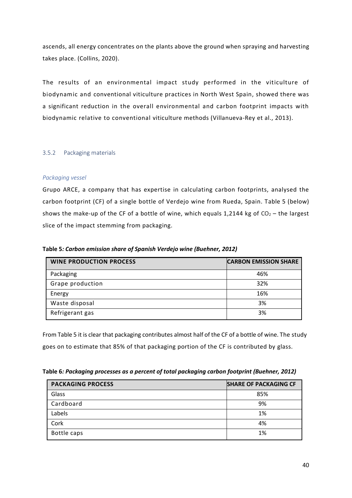ascends, all energy concentrates on the plants above the ground when spraying and harvesting takes place. (Collins, 2020).

The results of an environmental impact study performed in the viticulture of biodynamic and conventional viticulture practices in North West Spain, showed there was a significant reduction in the overall environmental and carbon footprint impacts with biodynamic relative to conventional viticulture methods (Villanueva-Rey et al., 2013).

## 3.5.2 Packaging materials

## *Packaging vessel*

Grupo ARCE, a company that has expertise in calculating carbon footprints, analysed the carbon footprint (CF) of a single bottle of Verdejo wine from Rueda, Spain. Table 5 (below) shows the make-up of the CF of a bottle of wine, which equals 1,2144 kg of  $CO<sub>2</sub>$  – the largest slice of the impact stemming from packaging.

**WINE PRODUCTION PROCESS CARBON EMISSION SHARE** Packaging 26% and 26% and 26% and 26% and 26% and 26% and 26% and 26% and 26% and 26% and 26% and 26% and 26% and 26% and 26% and 26% and 26% and 26% and 26% and 26% and 26% and 26% and 26% and 26% and 26% and 26% and 26% Grape production and the set of the set of the set of the set of the set of the set of the set of the set of t Energy the contract of the contract of the contract of the contract of the contract of the contract of the contract of the contract of the contract of the contract of the contract of the contract of the contract of the con Waste disposal 3% Refrigerant gas and the set of the set of the set of the set of the set of the set of the set of the set of the set of the set of the set of the set of the set of the set of the set of the set of the set of the set of the

**Table 5***: Carbon emission share of Spanish Verdejo wine (Buehner, 2012)*

From Table 5 it is clear that packaging contributes almost half of the CF of a bottle of wine. The study goes on to estimate that 85% of that packaging portion of the CF is contributed by glass.

| Table 6: Packaging processes as a percent of total packaging carbon footprint (Buehner, 2012) |  |  |  |  |
|-----------------------------------------------------------------------------------------------|--|--|--|--|
|-----------------------------------------------------------------------------------------------|--|--|--|--|

| <b>PACKAGING PROCESS</b> | <b>SHARE OF PACKAGING CF</b> |
|--------------------------|------------------------------|
| Glass                    | 85%                          |
| Cardboard                | 9%                           |
| Labels                   | 1%                           |
| Cork                     | 4%                           |
| Bottle caps              | 1%                           |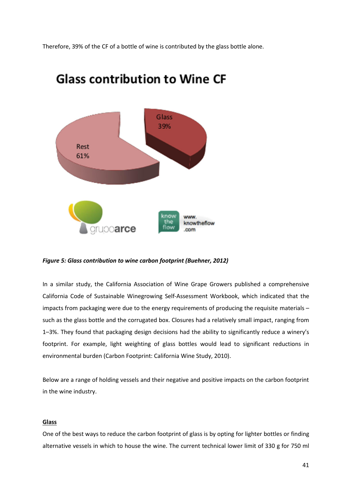Therefore, 39% of the CF of a bottle of wine is contributed by the glass bottle alone.



# **Glass contribution to Wine CF**

## *Figure 5: Glass contribution to wine carbon footprint (Buehner, 2012)*

In a similar study, the California Association of Wine Grape Growers published a comprehensive California Code of Sustainable Winegrowing Self-Assessment Workbook, which indicated that the impacts from packaging were due to the energy requirements of producing the requisite materials – such as the glass bottle and the corrugated box. Closures had a relatively small impact, ranging from 1–3%. They found that packaging design decisions had the ability to significantly reduce a winery's footprint. For example, light weighting of glass bottles would lead to significant reductions in environmental burden (Carbon Footprint: California Wine Study, 2010).

Below are a range of holding vessels and their negative and positive impacts on the carbon footprint in the wine industry.

## **Glass**

One of the best ways to reduce the carbon footprint of glass is by opting for lighter bottles or finding alternative vessels in which to house the wine. The current technical lower limit of 330 g for 750 ml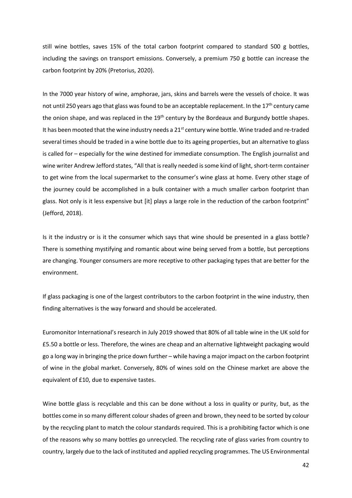still wine bottles, saves 15% of the total carbon footprint compared to standard 500 g bottles, including the savings on transport emissions. Conversely, a premium 750 g bottle can increase the carbon footprint by 20% (Pretorius, 2020).

In the 7000 year history of wine, amphorae, jars, skins and barrels were the vessels of choice. It was not until 250 years ago that glass was found to be an acceptable replacement. In the 17<sup>th</sup> century came the onion shape, and was replaced in the  $19<sup>th</sup>$  century by the Bordeaux and Burgundy bottle shapes. It has been mooted that the wine industry needs a  $21^{st}$  century wine bottle. Wine traded and re-traded several times should be traded in a wine bottle due to its ageing properties, but an alternative to glass is called for – especially for the wine destined for immediate consumption. The English journalist and wine writer Andrew Jefford states, "All that is really needed is some kind of light, short-term container to get wine from the local supermarket to the consumer's wine glass at home. Every other stage of the journey could be accomplished in a bulk container with a much smaller carbon footprint than glass. Not only is it less expensive but [it] plays a large role in the reduction of the carbon footprint" (Jefford, 2018).

Is it the industry or is it the consumer which says that wine should be presented in a glass bottle? There is something mystifying and romantic about wine being served from a bottle, but perceptions are changing. Younger consumers are more receptive to other packaging types that are better for the environment.

If glass packaging is one of the largest contributors to the carbon footprint in the wine industry, then finding alternatives is the way forward and should be accelerated.

Euromonitor International's research in July 2019 showed that 80% of all table wine in the UK sold for £5.50 a bottle or less. Therefore, the wines are cheap and an alternative lightweight packaging would go a long way in bringing the price down further – while having a major impact on the carbon footprint of wine in the global market. Conversely, 80% of wines sold on the Chinese market are above the equivalent of £10, due to expensive tastes.

Wine bottle glass is recyclable and this can be done without a loss in quality or purity, but, as the bottles come in so many different colour shades of green and brown, they need to be sorted by colour by the recycling plant to match the colour standards required. This is a prohibiting factor which is one of the reasons why so many bottles go unrecycled. The recycling rate of glass varies from country to country, largely due to the lack of instituted and applied recycling programmes. The US Environmental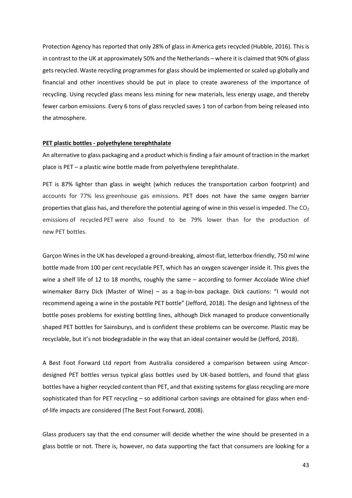Protection Agency has reported that only 28% of glass in America gets recycled (Hubble, 2016). This is in contrast to the UK at approximately 50% and the Netherlands – where it is claimed that 90% of glass gets recycled. Waste recycling programmes for glass should be implemented or scaled up globally and financial and other incentives should be put in place to create awareness of the importance of recycling. Using recycled glass means less mining for new materials, less energy usage, and thereby fewer carbon emissions. Every 6 tons of glass recycled saves 1 ton of carbon from being released into the atmosphere.

## **PET plastic bottles - polyethylene terephthalate**

An alternative to glass packaging and a product which is finding a fair amount of traction in the market place is PET – a plastic wine bottle made from polyethylene terephthalate.

PET is 87% lighter than glass in weight (which reduces the transportation carbon footprint) and accounts for 77% less greenhouse gas emissions. PET does not have the same oxygen barrier properties that glass has, and therefore the potential ageing of wine in this vessel is impeded. The  $CO<sub>2</sub>$ emissions of recycled PET were also found to be 79% lower than for the production of new PET bottles.

Garçon Wines in the UK has developed a ground-breaking, almost-flat, letterbox-friendly, 750 ml wine bottle made from 100 per cent recyclable PET, which has an oxygen scavenger inside it. This gives the wine a shelf life of 12 to 18 months, roughly the same – according to former Accolade Wine chief winemaker Barry Dick (Master of Wine) – as a bag-in-box package. Dick cautions: "I would not recommend ageing a wine in the postable PET bottle" (Jefford, 2018). The design and lightness of the bottle poses problems for existing bottling lines, although Dick managed to produce conventionally shaped PET bottles for Sainsburys, and is confident these problems can be overcome. Plastic may be recyclable, but it's not biodegradable in the way that an ideal container would be (Jefford, 2018).

A Best Foot Forward Ltd report from Australia considered a comparison between using Amcordesigned PET bottles versus typical glass bottles used by UK-based bottlers, and found that glass bottles have a higher recycled content than PET, and that existing systems for glass recycling are more sophisticated than for PET recycling – so additional carbon savings are obtained for glass when endof-life impacts are considered (The Best Foot Forward, 2008).

Glass producers say that the end consumer will decide whether the wine should be presented in a glass bottle or not. There is, however, no data supporting the fact that consumers are looking for a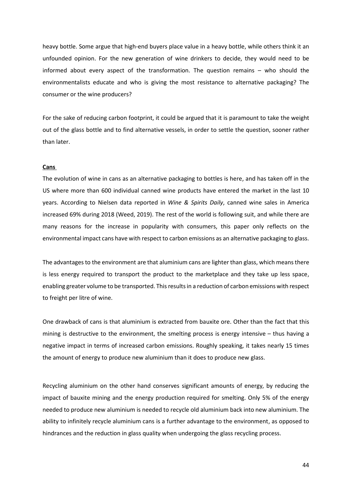heavy bottle. Some argue that high-end buyers place value in a heavy bottle, while others think it an unfounded opinion. For the new generation of wine drinkers to decide, they would need to be informed about every aspect of the transformation. The question remains – who should the environmentalists educate and who is giving the most resistance to alternative packaging? The consumer or the wine producers?

For the sake of reducing carbon footprint, it could be argued that it is paramount to take the weight out of the glass bottle and to find alternative vessels, in order to settle the question, sooner rather than later.

#### **Cans**

The evolution of wine in cans as an alternative packaging to bottles is here, and has taken off in the US where more than 600 individual canned wine products have entered the market in the last 10 years. According to Nielsen data reported in *Wine & Spirits Daily*, canned wine sales in America increased 69% during 2018 (Weed, 2019). The rest of the world is following suit, and while there are many reasons for the increase in popularity with consumers, this paper only reflects on the environmental impact cans have with respect to carbon emissions as an alternative packaging to glass.

The advantages to the environment are that aluminium cans are lighter than glass, which means there is less energy required to transport the product to the marketplace and they take up less space, enabling greater volume to be transported. This resultsin a reduction of carbon emissions with respect to freight per litre of wine.

One drawback of cans is that aluminium is extracted from bauxite ore. Other than the fact that this mining is destructive to the environment, the smelting process is energy intensive – thus having a negative impact in terms of increased carbon emissions. Roughly speaking, it takes nearly 15 times the amount of energy to produce new aluminium than it does to produce new glass.

Recycling aluminium on the other hand conserves significant amounts of energy, by reducing the impact of bauxite mining and the energy production required for smelting. Only 5% of the energy needed to produce new aluminium is needed to recycle old aluminium back into new aluminium. The ability to infinitely recycle aluminium cans is a further advantage to the environment, as opposed to hindrances and the reduction in glass quality when undergoing the glass recycling process.

44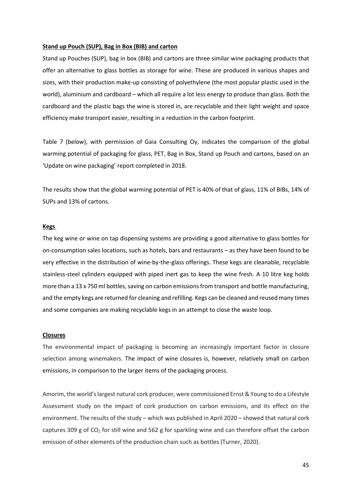#### **Stand up Pouch (SUP), Bag in Box (BIB) and carton**

Stand up Pouches (SUP), bag in box (BIB) and cartons are three similar wine packaging products that offer an alternative to glass bottles as storage for wine. These are produced in various shapes and sizes, with their production make-up consisting of polyethylene (the most popular plastic used in the world), aluminium and cardboard – which all require a lot less energy to produce than glass. Both the cardboard and the plastic bags the wine is stored in, are recyclable and their light weight and space efficiency make transport easier, resulting in a reduction in the carbon footprint.

Table 7 (below), with permission of Gaia Consulting Oy, indicates the comparison of the global warming potential of packaging for glass, PET, Bag in Box, Stand up Pouch and cartons, based on an 'Update on wine packaging' report completed in 2018.

The results show that the global warming potential of PET is 40% of that of glass, 11% of BIBs, 14% of SUPs and 13% of cartons.

#### **Kegs**

The keg wine or wine on tap dispensing systems are providing a good alternative to glass bottles for on-consumption sales locations, such as hotels, bars and restaurants – as they have been found to be very effective in the distribution of wine-by-the-glass offerings. These kegs are cleanable, recyclable stainless-steel cylinders equipped with piped inert gas to keep the wine fresh. A 10 litre keg holds more than a 13 x 750 ml bottles, saving on carbon emissions from transport and bottle manufacturing, and the empty kegs are returned for cleaning and refilling. Kegs can be cleaned and reused many times and some companies are making recyclable kegs in an attempt to close the waste loop.

#### **Closures**

The environmental impact of packaging is becoming an increasingly important factor in closure selection among winemakers. The impact of wine closures is, however, relatively small on carbon emissions, in comparison to the larger items of the packaging process.

Amorim, the world'slargest natural cork producer, were commissioned Ernst & Young to do a Lifestyle Assessment study on the impact of cork production on carbon emissions, and its effect on the environment. The results of the study – which was published in April 2020 – showed that natural cork captures 309 g of  $CO<sub>2</sub>$  for still wine and 562 g for sparkling wine and can therefore offset the carbon emission of other elements of the production chain such as bottles (Turner, 2020).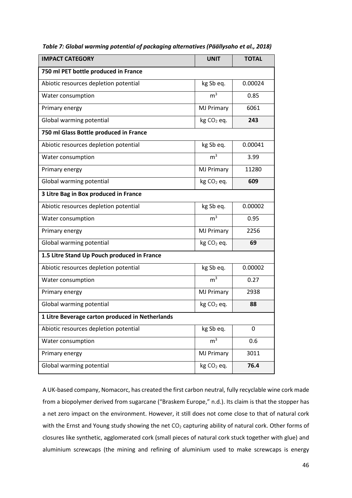| <b>IMPACT CATEGORY</b>                          | <b>UNIT</b>            | <b>TOTAL</b> |  |  |  |
|-------------------------------------------------|------------------------|--------------|--|--|--|
| 750 ml PET bottle produced in France            |                        |              |  |  |  |
| Abiotic resources depletion potential           | kg Sb eq.              | 0.00024      |  |  |  |
| Water consumption                               | m <sup>3</sup>         | 0.85         |  |  |  |
| Primary energy                                  | <b>MJ Primary</b>      | 6061         |  |  |  |
| Global warming potential                        | kg CO <sub>2</sub> eq. | 243          |  |  |  |
| 750 ml Glass Bottle produced in France          |                        |              |  |  |  |
| Abiotic resources depletion potential           | kg Sb eq.              | 0.00041      |  |  |  |
| Water consumption                               | m <sup>3</sup>         | 3.99         |  |  |  |
| Primary energy                                  | <b>MJ Primary</b>      | 11280        |  |  |  |
| Global warming potential                        | kg CO <sub>2</sub> eq. | 609          |  |  |  |
| 3 Litre Bag in Box produced in France           |                        |              |  |  |  |
| Abiotic resources depletion potential           | kg Sb eq.              | 0.00002      |  |  |  |
| Water consumption                               | m <sup>3</sup>         | 0.95         |  |  |  |
| Primary energy                                  | <b>MJ Primary</b>      | 2256         |  |  |  |
| Global warming potential                        | kg CO <sub>2</sub> eq. | 69           |  |  |  |
| 1.5 Litre Stand Up Pouch produced in France     |                        |              |  |  |  |
| Abiotic resources depletion potential           | kg Sb eq.              | 0.00002      |  |  |  |
| Water consumption                               | m <sup>3</sup>         | 0.27         |  |  |  |
| Primary energy                                  | <b>MJ Primary</b>      | 2938         |  |  |  |
| Global warming potential                        | kg CO <sub>2</sub> eq. | 88           |  |  |  |
| 1 Litre Beverage carton produced in Netherlands |                        |              |  |  |  |
| Abiotic resources depletion potential           | kg Sb eq.              | 0            |  |  |  |
| Water consumption                               | m <sup>3</sup>         | 0.6          |  |  |  |
| Primary energy                                  | <b>MJ Primary</b>      | 3011         |  |  |  |
| Global warming potential                        | kg CO <sub>2</sub> eq. | 76.4         |  |  |  |

*Table 7: Global warming potential of packaging alternatives (Päällysaho et al., 2018)*

A UK-based company, Nomacorc, has created the first carbon neutral, fully recyclable wine cork made from a biopolymer derived from sugarcane ("Braskem Europe," n.d.). Its claim is that the stopper has a net zero impact on the environment. However, it still does not come close to that of natural cork with the Ernst and Young study showing the net CO<sub>2</sub> capturing ability of natural cork. Other forms of closures like synthetic, agglomerated cork (small pieces of natural cork stuck together with glue) and aluminium screwcaps (the mining and refining of aluminium used to make screwcaps is energy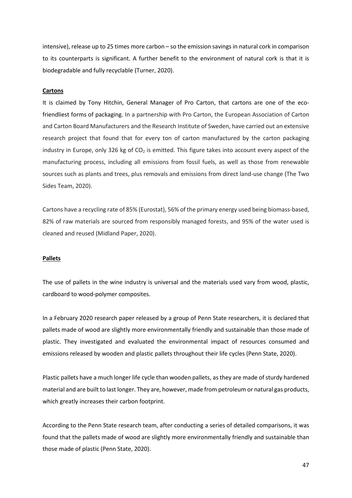intensive), release up to 25 times more carbon – so the emission savings in natural cork in comparison to its counterparts is significant. A further benefit to the environment of natural cork is that it is biodegradable and fully recyclable (Turner, 2020).

#### **Cartons**

It is claimed by Tony Hitchin, General Manager of Pro Carton, that cartons are one of the ecofriendliest forms of packaging. In a partnership with Pro Carton, the European Association of Carton and Carton Board Manufacturers and the Research Institute of Sweden, have carried out an extensive research project that found that for every ton of carton manufactured by the carton packaging industry in Europe, only 326 kg of  $CO<sub>2</sub>$  is emitted. This figure takes into account every aspect of the manufacturing process, including all emissions from fossil fuels, as well as those from renewable sources such as plants and trees, plus removals and emissions from direct land-use change (The Two Sides Team, 2020).

Cartons have a recycling rate of 85% (Eurostat), 56% of the primary energy used being biomass-based, 82% of raw materials are sourced from responsibly managed forests, and 95% of the water used is cleaned and reused (Midland Paper, 2020).

#### **Pallets**

The use of pallets in the wine industry is universal and the materials used vary from wood, plastic, cardboard to wood-polymer composites.

In a February 2020 research paper released by a group of Penn State researchers, it is declared that pallets made of wood are slightly more environmentally friendly and sustainable than those made of plastic. They investigated and evaluated the environmental impact of resources consumed and emissions released by wooden and plastic pallets throughout their life cycles (Penn State, 2020).

Plastic pallets have a much longer life cycle than wooden pallets, as they are made of sturdy hardened material and are built to last longer. They are, however, made from petroleum or natural gas products, which greatly increases their carbon footprint.

According to the Penn State research team, after conducting a series of detailed comparisons, it was found that the pallets made of wood are slightly more environmentally friendly and sustainable than those made of plastic (Penn State, 2020).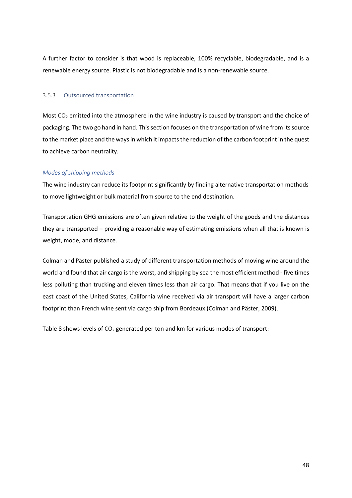A further factor to consider is that wood is replaceable, 100% recyclable, biodegradable, and is a renewable energy source. Plastic is not biodegradable and is a non-renewable source.

## 3.5.3 Outsourced transportation

Most CO<sub>2</sub> emitted into the atmosphere in the wine industry is caused by transport and the choice of packaging. The two go hand in hand. This section focuses on the transportation of wine from its source to the market place and the ways in which it impacts the reduction of the carbon footprint in the quest to achieve carbon neutrality.

## *Modes of shipping methods*

The wine industry can reduce its footprint significantly by finding alternative transportation methods to move lightweight or bulk material from source to the end destination.

Transportation GHG emissions are often given relative to the weight of the goods and the distances they are transported – providing a reasonable way of estimating emissions when all that is known is weight, mode, and distance.

Colman and Päster published a study of different transportation methods of moving wine around the world and found that air cargo is the worst, and shipping by sea the most efficient method - five times less polluting than trucking and eleven times less than air cargo. That means that if you live on the east coast of the United States, California wine received via air transport will have a larger carbon footprint than French wine sent via cargo ship from Bordeaux (Colman and Päster, 2009).

Table 8 shows levels of  $CO<sub>2</sub>$  generated per ton and km for various modes of transport: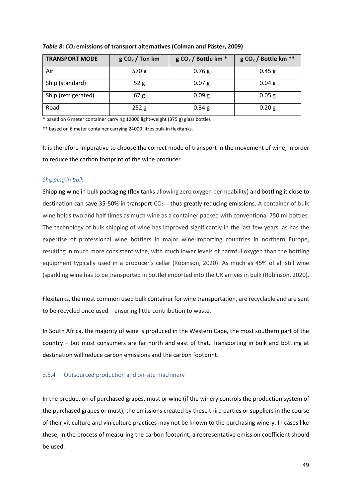| <b>TRANSPORT MODE</b> | $gCO2$ / Ton km | $gCO2$ / Bottle km $*$ | $g CO2$ / Bottle km ** |
|-----------------------|-----------------|------------------------|------------------------|
| Air                   | 570 g           | 0.76 <sub>g</sub>      | 0.45 g                 |
| Ship (standard)       | 52g             | $0.07$ g               | 0.04 <sub>g</sub>      |
| Ship (refrigerated)   | 67 <sub>g</sub> | 0.09 <sub>g</sub>      | $0.05$ g               |
| Road                  | 252g            | 0.34 g                 | 0.20 g                 |

*Table 8***:** *CO2* **emissions of transport alternatives (Colman and Päster, 2009)**

\* based on 6 meter container carrying 12000 light-weight (375 g) glass bottles

\*\* based on 6 meter container carrying 24000 litres bulk in flexitanks.

It is therefore imperative to choose the correct mode of transport in the movement of wine, in order to reduce the carbon footprint of the wine producer.

## *Shipping in bulk*

Shipping wine in bulk packaging (flexitanks allowing zero oxygen permeability) and bottling it close to destination can save 35-50% in transport  $CO<sub>2</sub>$  – thus greatly reducing emissions. A container of bulk wine holds two and half times as much wine as a container packed with conventional 750 ml bottles. The technology of bulk shipping of wine has improved significantly in the last few years, as has the expertise of professional wine bottlers in major wine-importing countries in northern Europe, resulting in much more consistent wine, with much lower levels of harmful oxygen than the bottling equipment typically used in a producer's cellar (Robinson, 2020). As much as 45% of all still wine (sparkling wine has to be transported in bottle) imported into the UK arrives in bulk (Robinson, 2020).

Flexitanks, the most common used bulk container for wine transportation, are recyclable and are sent to be recycled once used – ensuring little contribution to waste.

In South Africa, the majority of wine is produced in the Western Cape, the most southern part of the country – but most consumers are far north and east of that. Transporting in bulk and bottling at destination will reduce carbon emissions and the carbon footprint.

## 3.5.4 Outsourced production and on-site machinery

In the production of purchased grapes, must or wine (if the winery controls the production system of the purchased grapes or must), the emissions created by these third parties or suppliers in the course of their viticulture and viniculture practices may not be known to the purchasing winery. In cases like these, in the process of measuring the carbon footprint, a representative emission coefficient should be used.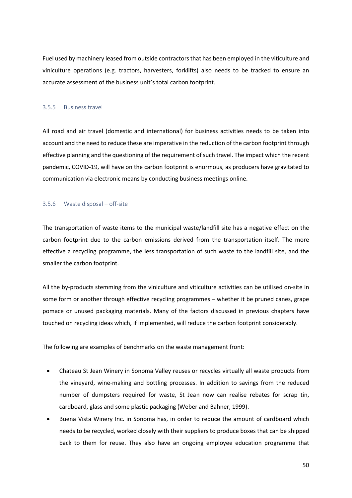Fuel used by machinery leased from outside contractors that has been employed in the viticulture and viniculture operations (e.g. tractors, harvesters, forklifts) also needs to be tracked to ensure an accurate assessment of the business unit's total carbon footprint.

## 3.5.5 Business travel

All road and air travel (domestic and international) for business activities needs to be taken into account and the need to reduce these are imperative in the reduction of the carbon footprint through effective planning and the questioning of the requirement of such travel. The impact which the recent pandemic, COVID-19, will have on the carbon footprint is enormous, as producers have gravitated to communication via electronic means by conducting business meetings online.

#### 3.5.6 Waste disposal – off-site

The transportation of waste items to the municipal waste/landfill site has a negative effect on the carbon footprint due to the carbon emissions derived from the transportation itself. The more effective a recycling programme, the less transportation of such waste to the landfill site, and the smaller the carbon footprint.

All the by-products stemming from the viniculture and viticulture activities can be utilised on-site in some form or another through effective recycling programmes – whether it be pruned canes, grape pomace or unused packaging materials. Many of the factors discussed in previous chapters have touched on recycling ideas which, if implemented, will reduce the carbon footprint considerably.

The following are examples of benchmarks on the waste management front:

- · Chateau St Jean Winery in Sonoma Valley reuses or recycles virtually all waste products from the vineyard, wine-making and bottling processes. In addition to savings from the reduced number of dumpsters required for waste, St Jean now can realise rebates for scrap tin, cardboard, glass and some plastic packaging (Weber and Bahner, 1999).
- Buena Vista Winery Inc. in Sonoma has, in order to reduce the amount of cardboard which needs to be recycled, worked closely with their suppliers to produce boxes that can be shipped back to them for reuse. They also have an ongoing employee education programme that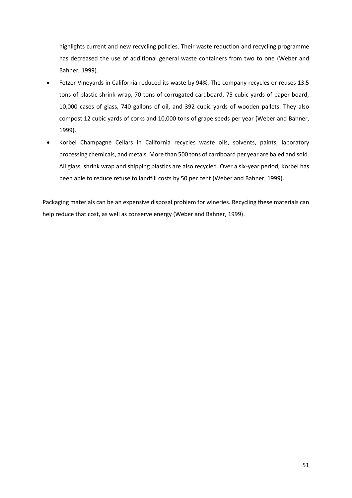highlights current and new recycling policies. Their waste reduction and recycling programme has decreased the use of additional general waste containers from two to one (Weber and Bahner, 1999).

- Fetzer Vineyards in California reduced its waste by 94%. The company recycles or reuses 13.5 tons of plastic shrink wrap, 70 tons of corrugated cardboard, 75 cubic yards of paper board, 10,000 cases of glass, 740 gallons of oil, and 392 cubic yards of wooden pallets. They also compost 12 cubic yards of corks and 10,000 tons of grape seeds per year (Weber and Bahner, 1999).
- · Korbel Champagne Cellars in California recycles waste oils, solvents, paints, laboratory processing chemicals, and metals. More than 500 tons of cardboard per year are baled and sold. All glass, shrink wrap and shipping plastics are also recycled. Over a six-year period, Korbel has been able to reduce refuse to landfill costs by 50 per cent (Weber and Bahner, 1999).

Packaging materials can be an expensive disposal problem for wineries. Recycling these materials can help reduce that cost, as well as conserve energy (Weber and Bahner, 1999).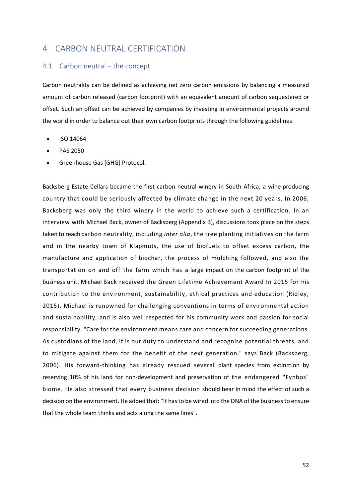# 4 CARBON NEUTRAL CERTIFICATION

## 4.1 Carbon neutral – the concept

Carbon neutrality can be defined as achieving net zero carbon emissions by balancing a measured amount of carbon released (carbon footprint) with an equivalent amount of carbon sequestered or offset. Such an offset can be achieved by companies by investing in environmental projects around the world in order to balance out their own carbon footprints through the following guidelines:

- · ISO 14064
- · PAS 2050
- · Greenhouse Gas (GHG) Protocol.

Backsberg Estate Cellars became the first carbon neutral winery in South Africa, a wine-producing country that could be seriously affected by climate change in the next 20 years. In 2006, Backsberg was only the third winery in the world to achieve such a certification. In an interview with Michael Back, owner of Backsberg (Appendix B), discussions took place on the steps taken to reach carbon neutrality, including *inter alia*, the tree planting initiatives on the farm and in the nearby town of Klapmuts, the use of biofuels to offset excess carbon, the manufacture and application of biochar, the process of mulching followed, and also the transportation on and off the farm which has a large impact on the carbon footprint of the business unit. Michael Back received the Green Lifetime Achievement Award In 2015 for his contribution to the environment, sustainability, ethical practices and education (Ridley, 2015). Michael is renowned for challenging conventions in terms of environmental action and sustainability, and is also well respected for his community work and passion for social responsibility. "Care for the environment means care and concern for succeeding generations. As custodians of the land, it is our duty to understand and recognise potential threats, and to mitigate against them for the benefit of the next generation," says Back (Backsberg, 2006). His forward-thinking has already rescued several plant species from extinction by reserving 10% of his land for non-development and preservation of the endangered "Fynbos" biome. He also stressed that every business decision should bear in mind the effect of such a decision on the environment. He added that: "It hasto be wired into the DNA of the business to ensure that the whole team thinks and acts along the same lines".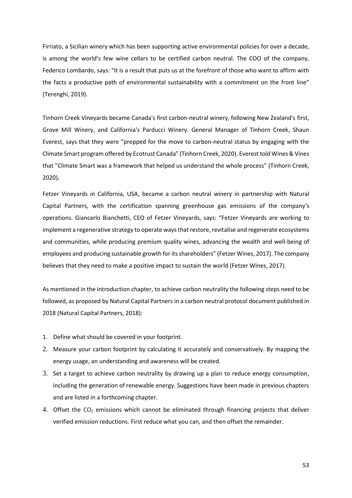Firriato, a Sicilian winery which has been supporting active environmental policies for over a decade, is among the world's few wine cellars to be certified carbon neutral. The COO of the company, Federico Lombardo, says: "It is a result that puts us at the forefront of those who want to affirm with the facts a productive path of environmental sustainability with a commitment on the front line" (Terenghi, 2019).

Tinhorn Creek Vineyards became Canada's first carbon-neutral winery, following New Zealand's first, Grove Mill Winery, and California's Parducci Winery. General Manager of Tinhorn Creek, Shaun Everest, says that they were "prepped for the move to carbon-neutral status by engaging with the Climate Smart program offered by Ecotrust Canada" (Tinhorn Creek, 2020). Everest told Wines & Vines that "Climate Smart was a framework that helped us understand the whole process" (Tinhorn Creek, 2020)**.**

Fetzer Vineyards in California, USA, became a carbon neutral winery in partnership with Natural Capital Partners, with the certification spanning greenhouse gas emissions of the company's operations. Giancarlo Bianchetti, CEO of Fetzer Vineyards, says: "Fetzer Vineyards are working to implement a regenerative strategy to operate ways that restore, revitalise and regenerate ecosystems and communities, while producing premium quality wines, advancing the wealth and well-being of employees and producing sustainable growth for its shareholders" (Fetzer Wines, 2017). The company believes that they need to make a positive impact to sustain the world (Fetzer Wines, 2017).

As mentioned in the introduction chapter, to achieve carbon neutrality the following steps need to be followed, as proposed by Natural Capital Partners in a carbon neutral protocol document published in 2018 (Natural Capital Partners, 2018):

- 1. Define what should be covered in your footprint.
- 2. Measure your carbon footprint by calculating it accurately and conservatively. By mapping the energy usage, an understanding and awareness will be created.
- 3. Set a target to achieve carbon neutrality by drawing up a plan to reduce energy consumption, including the generation of renewable energy. Suggestions have been made in previous chapters and are listed in a forthcoming chapter.
- 4. Offset the  $CO<sub>2</sub>$  emissions which cannot be eliminated through financing projects that deliver verified emission reductions. First reduce what you can, and then offset the remainder.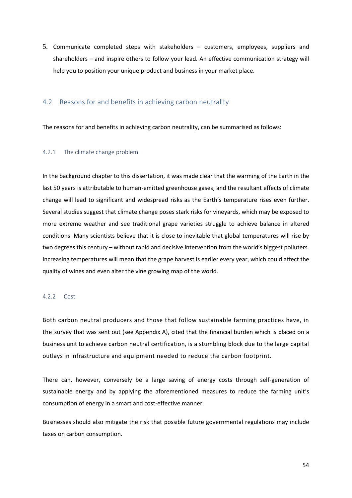5. Communicate completed steps with stakeholders – customers, employees, suppliers and shareholders – and inspire others to follow your lead. An effective communication strategy will help you to position your unique product and business in your market place.

## 4.2 Reasons for and benefits in achieving carbon neutrality

The reasons for and benefits in achieving carbon neutrality, can be summarised as follows:

## 4.2.1 The climate change problem

In the background chapter to this dissertation, it was made clear that the warming of the Earth in the last 50 years is attributable to human-emitted greenhouse gases, and the resultant effects of climate change will lead to significant and widespread risks as the Earth's temperature rises even further. Several studies suggest that climate change poses stark risks for vineyards, which may be exposed to more extreme weather and see traditional grape varieties struggle to achieve balance in altered conditions. Many scientists believe that it is close to inevitable that global temperatures will rise by two degrees this century – without rapid and decisive intervention from the world's biggest polluters. Increasing temperatures will mean that the grape harvest is earlier every year, which could affect the quality of wines and even alter the vine growing map of the world.

## 4.2.2 Cost

Both carbon neutral producers and those that follow sustainable farming practices have, in the survey that was sent out (see Appendix A), cited that the financial burden which is placed on a business unit to achieve carbon neutral certification, is a stumbling block due to the large capital outlays in infrastructure and equipment needed to reduce the carbon footprint.

There can, however, conversely be a large saving of energy costs through self-generation of sustainable energy and by applying the aforementioned measures to reduce the farming unit's consumption of energy in a smart and cost-effective manner.

Businesses should also mitigate the risk that possible future governmental regulations may include taxes on carbon consumption.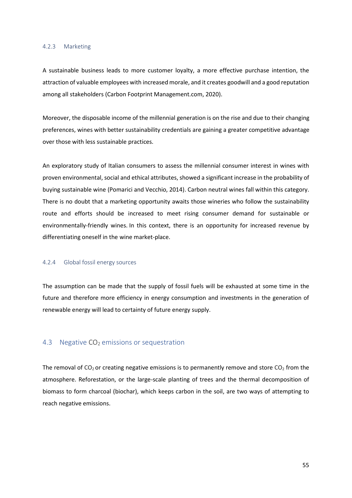#### 4.2.3 Marketing

A sustainable business leads to more customer loyalty, a more effective purchase intention, the attraction of valuable employees with increased morale, and it creates goodwill and a good reputation among all stakeholders (Carbon Footprint Management.com, 2020).

Moreover, the disposable income of the millennial generation is on the rise and due to their changing preferences, wines with better sustainability credentials are gaining a greater competitive advantage over those with less sustainable practices.

An exploratory study of Italian consumers to assess the millennial consumer interest in wines with proven environmental, social and ethical attributes, showed a significant increase in the probability of buying sustainable wine (Pomarici and Vecchio, 2014). Carbon neutral wines fall within this category. There is no doubt that a marketing opportunity awaits those wineries who follow the sustainability route and efforts should be increased to meet rising consumer demand for sustainable or environmentally-friendly wines. In this context, there is an opportunity for increased revenue by differentiating oneself in the wine market-place.

## 4.2.4 Global fossil energy sources

The assumption can be made that the supply of fossil fuels will be exhausted at some time in the future and therefore more efficiency in energy consumption and investments in the generation of renewable energy will lead to certainty of future energy supply.

## 4.3 Negative CO<sub>2</sub> emissions or sequestration

The removal of  $CO<sub>2</sub>$  or creating negative emissions is to permanently remove and store  $CO<sub>2</sub>$  from the atmosphere. Reforestation, or the large-scale planting of trees and the thermal decomposition of biomass to form charcoal (biochar), which keeps carbon in the soil, are two ways of attempting to reach negative emissions.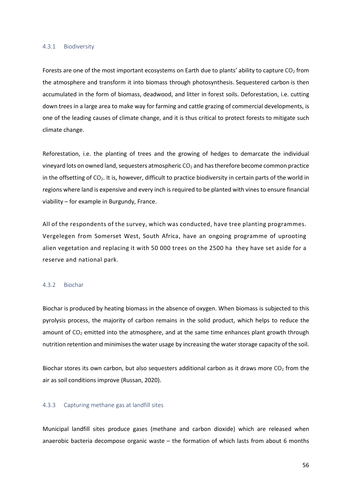#### 4.3.1 Biodiversity

Forests are one of the most important ecosystems on Earth due to plants' ability to capture  $CO<sub>2</sub>$  from the atmosphere and transform it into biomass through photosynthesis. Sequestered carbon is then accumulated in the form of biomass, deadwood, and litter in forest soils. Deforestation, i.e. cutting down trees in a large area to make way for farming and cattle grazing of commercial developments, is one of the leading causes of climate change, and it is thus critical to protect forests to mitigate such climate change.

Reforestation, i.e. the planting of trees and the growing of hedges to demarcate the individual vineyard lots on owned land, sequesters atmospheric  $CO<sub>2</sub>$  and has therefore become common practice in the offsetting of CO<sub>2</sub>. It is, however, difficult to practice biodiversity in certain parts of the world in regions where land is expensive and every inch is required to be planted with vines to ensure financial viability – for example in Burgundy, France.

All of the respondents of the survey, which was conducted, have tree planting programmes. Vergelegen from Somerset West, South Africa, have an ongoing programme of uprooting alien vegetation and replacing it with 50 000 trees on the 2500 ha they have set aside for a reserve and national park.

## 4.3.2 Biochar

Biochar is produced by heating biomass in the absence of oxygen. When biomass is subjected to this pyrolysis process, the majority of carbon remains in the solid product, which helps to reduce the amount of  $CO<sub>2</sub>$  emitted into the atmosphere, and at the same time enhances plant growth through nutrition retention and minimises the water usage by increasing the water storage capacity of the soil.

Biochar stores its own carbon, but also sequesters additional carbon as it draws more  $CO<sub>2</sub>$  from the air as soil conditions improve (Russan, 2020).

## 4.3.3 Capturing methane gas at landfill sites

Municipal landfill sites produce gases (methane and carbon dioxide) which are released when anaerobic bacteria decompose organic waste – the formation of which lasts from about 6 months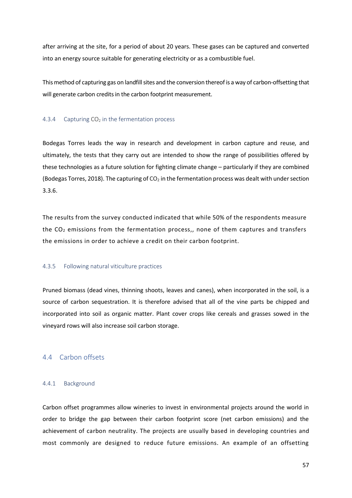after arriving at the site, for a period of about 20 years. These gases can be captured and converted into an energy source suitable for generating electricity or as a combustible fuel.

This method of capturing gas on landfill sites and the conversion thereof is a way of carbon-offsetting that will generate carbon credits in the carbon footprint measurement.

#### 4.3.4 Capturing  $CO<sub>2</sub>$  in the fermentation process

Bodegas Torres leads the way in research and development in carbon capture and reuse, and ultimately, the tests that they carry out are intended to show the range of possibilities offered by these technologies as a future solution for fighting climate change – particularly if they are combined (Bodegas Torres, 2018). The capturing of  $CO<sub>2</sub>$  in the fermentation process was dealt with under section 3.3.6.

The results from the survey conducted indicated that while 50% of the respondents measure the  $CO<sub>2</sub>$  emissions from the fermentation process,, none of them captures and transfers the emissions in order to achieve a credit on their carbon footprint.

## 4.3.5 Following natural viticulture practices

Pruned biomass (dead vines, thinning shoots, leaves and canes), when incorporated in the soil, is a source of carbon sequestration. It is therefore advised that all of the vine parts be chipped and incorporated into soil as organic matter. Plant cover crops like cereals and grasses sowed in the vineyard rows will also increase soil carbon storage.

## 4.4 Carbon offsets

#### 4.4.1 Background

Carbon offset programmes allow wineries to invest in environmental projects around the world in order to bridge the gap between their carbon footprint score (net carbon emissions) and the achievement of carbon neutrality. The projects are usually based in developing countries and most commonly are designed to reduce future emissions. An example of an offsetting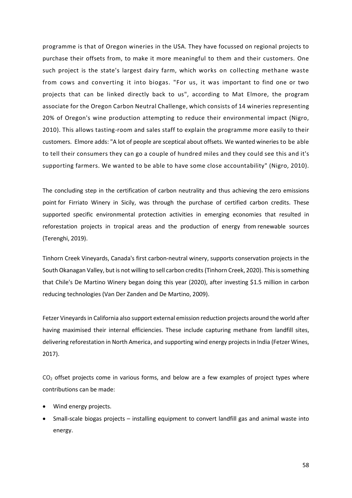programme is that of Oregon wineries in the USA. They have focussed on regional projects to purchase their offsets from, to make it more meaningful to them and their customers. One such project is the state's largest dairy farm, which works on collecting methane waste from cows and converting it into biogas. "For us, it was important to find one or two projects that can be linked directly back to us", according to Mat Elmore, the program associate for the Oregon Carbon Neutral Challenge, which consists of 14 wineries representing 20% of Oregon's wine production attempting to reduce their environmental impact (Nigro, 2010). This allows tasting-room and sales staff to explain the programme more easily to their customers. Elmore adds: "A lot of people are sceptical about offsets. We wanted wineries to be able to tell their consumers they can go a couple of hundred miles and they could see this and it's supporting farmers. We wanted to be able to have some close accountability" (Nigro, 2010).

The concluding step in the certification of carbon neutrality and thus achieving the zero emissions point for Firriato Winery in Sicily, was through the purchase of certified carbon credits. These supported specific environmental protection activities in emerging economies that resulted in reforestation projects in tropical areas and the production of energy from renewable sources (Terenghi, 2019).

Tinhorn Creek Vineyards, Canada's first carbon-neutral winery, supports conservation projects in the South Okanagan Valley, but is not willing to sell carbon credits(Tinhorn Creek, 2020). This is something that Chile's De Martino Winery began doing this year (2020), after investing \$1.5 million in carbon reducing technologies (Van Der Zanden and De Martino, 2009).

Fetzer Vineyardsin California also support external emission reduction projects around the world after having maximised their internal efficiencies. These include capturing methane from landfill sites, delivering reforestation in North America, and supporting wind energy projects in India (Fetzer Wines, 2017).

CO<sub>2</sub> offset projects come in various forms, and below are a few examples of project types where contributions can be made:

- · Wind energy projects.
- · Small-scale biogas projects installing equipment to convert landfill gas and animal waste into energy.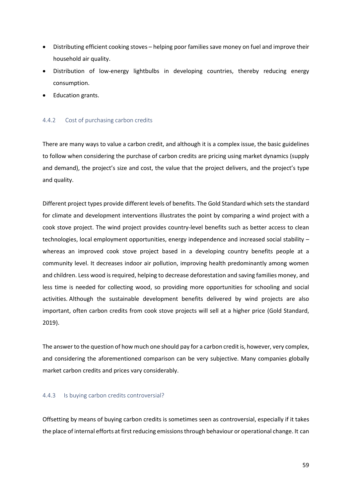- · Distributing efficient cooking stoves helping poor families save money on fuel and improve their household air quality.
- Distribution of low-energy lightbulbs in developing countries, thereby reducing energy consumption.
- · Education grants.

## 4.4.2 Cost of purchasing carbon credits

There are many ways to value a carbon credit, and although it is a complex issue, the basic guidelines to follow when considering the purchase of carbon credits are pricing using market dynamics (supply and demand), the project's size and cost, the value that the project delivers, and the project's type and quality.

Different project types provide different levels of benefits. The Gold Standard which sets the standard for climate and development interventions illustrates the point by comparing a wind project with a cook stove project. The wind project provides country-level benefits such as better access to clean technologies, local employment opportunities, energy independence and increased social stability – whereas an improved cook stove project based in a developing country benefits people at a community level. It decreases indoor air pollution, improving health predominantly among women and children. Less wood is required, helping to decrease deforestation and saving families money, and less time is needed for collecting wood, so providing more opportunities for schooling and social activities. Although the sustainable development benefits delivered by wind projects are also important, often carbon credits from cook stove projects will sell at a higher price (Gold Standard, 2019).

The answer to the question of how much one should pay for a carbon credit is, however, very complex, and considering the aforementioned comparison can be very subjective. Many companies globally market carbon credits and prices vary considerably.

## 4.4.3 Is buying carbon credits controversial?

Offsetting by means of buying carbon credits is sometimes seen as controversial, especially if it takes the place of internal efforts at first reducing emissions through behaviour or operational change. It can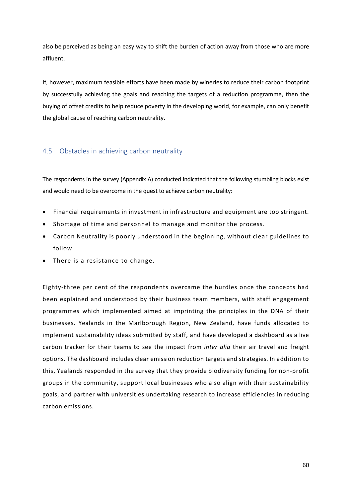also be perceived as being an easy way to shift the burden of action away from those who are more affluent.

If, however, maximum feasible efforts have been made by wineries to reduce their carbon footprint by successfully achieving the goals and reaching the targets of a reduction programme, then the buying of offset credits to help reduce poverty in the developing world, for example, can only benefit the global cause of reaching carbon neutrality.

## 4.5 Obstacles in achieving carbon neutrality

The respondents in the survey (Appendix A) conducted indicated that the following stumbling blocks exist and would need to be overcome in the quest to achieve carbon neutrality:

- · Financial requirements in investment in infrastructure and equipment are too stringent.
- · Shortage of time and personnel to manage and monitor the process.
- · Carbon Neutrality is poorly understood in the beginning, without clear guidelines to follow.
- There is a resistance to change.

Eighty-three per cent of the respondents overcame the hurdles once the concepts had been explained and understood by their business team members, with staff engagement programmes which implemented aimed at imprinting the principles in the DNA of their businesses. Yealands in the Marlborough Region, New Zealand, have funds allocated to implement sustainability ideas submitted by staff, and have developed a dashboard as a live carbon tracker for their teams to see the impact from *inter alia* their air travel and freight options. The dashboard includes clear emission reduction targets and strategies. In addition to this, Yealands responded in the survey that they provide biodiversity funding for non-profit groups in the community, support local businesses who also align with their sustainability goals, and partner with universities undertaking research to increase efficiencies in reducing carbon emissions.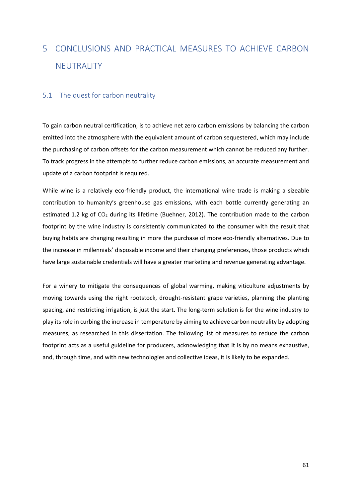# 5 CONCLUSIONS AND PRACTICAL MEASURES TO ACHIEVE CARBON NEUTRALITY

## 5.1 The quest for carbon neutrality

To gain carbon neutral certification, is to achieve net zero carbon emissions by balancing the carbon emitted into the atmosphere with the equivalent amount of carbon sequestered, which may include the purchasing of carbon offsets for the carbon measurement which cannot be reduced any further. To track progress in the attempts to further reduce carbon emissions, an accurate measurement and update of a carbon footprint is required.

While wine is a relatively eco-friendly product, the international wine trade is making a sizeable contribution to humanity's greenhouse gas emissions, with each bottle currently generating an estimated 1.2 kg of  $CO<sub>2</sub>$  during its lifetime (Buehner, 2012). The contribution made to the carbon footprint by the wine industry is consistently communicated to the consumer with the result that buying habits are changing resulting in more the purchase of more eco-friendly alternatives. Due to the increase in millennials' disposable income and their changing preferences, those products which have large sustainable credentials will have a greater marketing and revenue generating advantage.

For a winery to mitigate the consequences of global warming, making viticulture adjustments by moving towards using the right rootstock, drought-resistant grape varieties, planning the planting spacing, and restricting irrigation, is just the start. The long-term solution is for the wine industry to play its role in curbing the increase in temperature by aiming to achieve carbon neutrality by adopting measures, as researched in this dissertation. The following list of measures to reduce the carbon footprint acts as a useful guideline for producers, acknowledging that it is by no means exhaustive, and, through time, and with new technologies and collective ideas, it is likely to be expanded.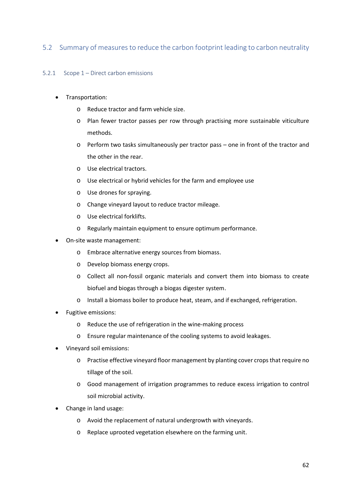## 5.2 Summary of measures to reduce the carbon footprint leading to carbon neutrality

- 5.2.1 Scope 1 Direct carbon emissions
	- · Transportation:
		- o Reduce tractor and farm vehicle size.
		- o Plan fewer tractor passes per row through practising more sustainable viticulture methods.
		- o Perform two tasks simultaneously per tractor pass one in front of the tractor and the other in the rear.
		- o Use electrical tractors.
		- o Use electrical or hybrid vehicles for the farm and employee use
		- o Use drones for spraying.
		- o Change vineyard layout to reduce tractor mileage.
		- o Use electrical forklifts.
		- o Regularly maintain equipment to ensure optimum performance.
	- · On-site waste management:
		- o Embrace alternative energy sources from biomass.
		- o Develop biomass energy crops.
		- o Collect all non-fossil organic materials and convert them into biomass to create biofuel and biogas through a biogas digester system.
		- o Install a biomass boiler to produce heat, steam, and if exchanged, refrigeration.
	- · Fugitive emissions:
		- o Reduce the use of refrigeration in the wine-making process
		- o Ensure regular maintenance of the cooling systems to avoid leakages.
	- · Vineyard soil emissions:
		- o Practise effective vineyard floor management by planting cover crops that require no tillage of the soil.
		- o Good management of irrigation programmes to reduce excess irrigation to control soil microbial activity.
	- · Change in land usage:
		- o Avoid the replacement of natural undergrowth with vineyards.
		- o Replace uprooted vegetation elsewhere on the farming unit.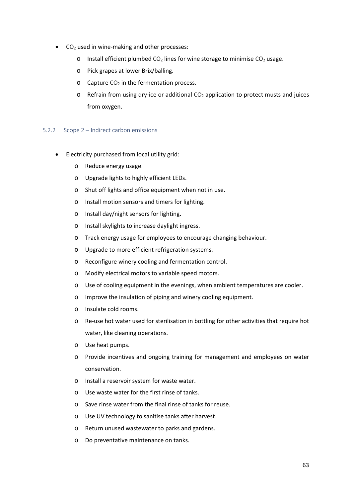- $CO<sub>2</sub>$  used in wine-making and other processes:
	- o Install efficient plumbed  $CO<sub>2</sub>$  lines for wine storage to minimise  $CO<sub>2</sub>$  usage.
	- o Pick grapes at lower Brix/balling.
	- $\circ$  Capture CO<sub>2</sub> in the fermentation process.
	- $\circ$  Refrain from using dry-ice or additional CO<sub>2</sub> application to protect musts and juices from oxygen.

## 5.2.2 Scope 2 – Indirect carbon emissions

- Electricity purchased from local utility grid:
	- o Reduce energy usage.
	- o Upgrade lights to highly efficient LEDs.
	- o Shut off lights and office equipment when not in use.
	- o Install motion sensors and timers for lighting.
	- o Install day/night sensors for lighting.
	- o Install skylights to increase daylight ingress.
	- o Track energy usage for employees to encourage changing behaviour.
	- o Upgrade to more efficient refrigeration systems.
	- o Reconfigure winery cooling and fermentation control.
	- o Modify electrical motors to variable speed motors.
	- o Use of cooling equipment in the evenings, when ambient temperatures are cooler.
	- o Improve the insulation of piping and winery cooling equipment.
	- o Insulate cold rooms.
	- o Re-use hot water used for sterilisation in bottling for other activities that require hot water, like cleaning operations.
	- o Use heat pumps.
	- o Provide incentives and ongoing training for management and employees on water conservation.
	- o Install a reservoir system for waste water.
	- o Use waste water for the first rinse of tanks.
	- o Save rinse water from the final rinse of tanks for reuse.
	- o Use UV technology to sanitise tanks after harvest.
	- o Return unused wastewater to parks and gardens.
	- o Do preventative maintenance on tanks.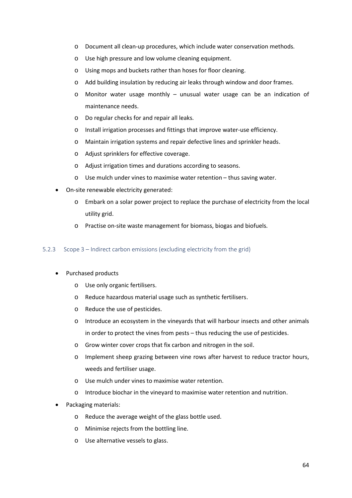- o Document all clean-up procedures, which include water conservation methods.
- o Use high pressure and low volume cleaning equipment.
- o Using mops and buckets rather than hoses for floor cleaning.
- o Add building insulation by reducing air leaks through window and door frames.
- o Monitor water usage monthly unusual water usage can be an indication of maintenance needs.
- o Do regular checks for and repair all leaks.
- o Install irrigation processes and fittings that improve water-use efficiency.
- o Maintain irrigation systems and repair defective lines and sprinkler heads.
- o Adjust sprinklers for effective coverage.
- o Adjust irrigation times and durations according to seasons.
- o Use mulch under vines to maximise water retention thus saving water.
- · On-site renewable electricity generated:
	- o Embark on a solar power project to replace the purchase of electricity from the local utility grid.
	- o Practise on-site waste management for biomass, biogas and biofuels.

## 5.2.3 Scope 3 – Indirect carbon emissions (excluding electricity from the grid)

- Purchased products
	- o Use only organic fertilisers.
	- o Reduce hazardous material usage such as synthetic fertilisers.
	- o Reduce the use of pesticides.
	- o Introduce an ecosystem in the vineyards that will harbour insects and other animals in order to protect the vines from pests – thus reducing the use of pesticides.
	- o Grow winter cover crops that fix carbon and nitrogen in the soil.
	- o Implement sheep grazing between vine rows after harvest to reduce tractor hours, weeds and fertiliser usage.
	- o Use mulch under vines to maximise water retention.
	- o Introduce biochar in the vineyard to maximise water retention and nutrition.
- · Packaging materials:
	- o Reduce the average weight of the glass bottle used.
	- o Minimise rejects from the bottling line.
	- o Use alternative vessels to glass.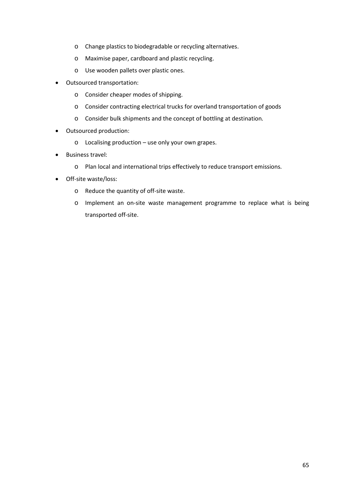- o Change plastics to biodegradable or recycling alternatives.
- o Maximise paper, cardboard and plastic recycling.
- o Use wooden pallets over plastic ones.
- · Outsourced transportation:
	- o Consider cheaper modes of shipping.
	- o Consider contracting electrical trucks for overland transportation of goods
	- o Consider bulk shipments and the concept of bottling at destination.
- · Outsourced production:
	- o Localising production use only your own grapes.
- · Business travel:
	- o Plan local and international trips effectively to reduce transport emissions.
- · Off-site waste/loss:
	- o Reduce the quantity of off-site waste.
	- o Implement an on-site waste management programme to replace what is being transported off-site.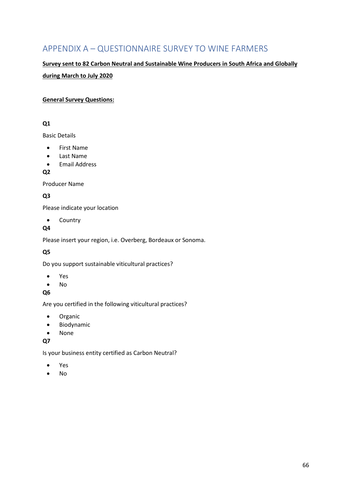# APPENDIX A – QUESTIONNAIRE SURVEY TO WINE FARMERS

# **Survey sent to 82 Carbon Neutral and Sustainable Wine Producers in South Africa and Globally during March to July 2020**

## **General Survey Questions:**

## **Q1**

Basic Details

- · First Name
- · Last Name
- · Email Address

# **Q2**

Producer Name

# **Q3**

Please indicate your location

· Country

# **Q4**

Please insert your region, i.e. Overberg, Bordeaux or Sonoma.

# **Q5**

Do you support sustainable viticultural practices?

- · Yes
- · No

# **Q6**

Are you certified in the following viticultural practices?

- · Organic
- · Biodynamic
- · None

## **Q7**

Is your business entity certified as Carbon Neutral?

- · Yes
- · No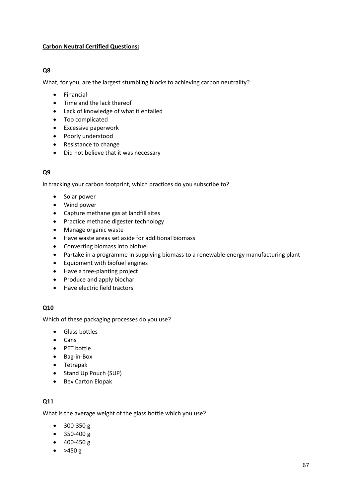#### **Carbon Neutral Certified Questions:**

## **Q8**

What, for you, are the largest stumbling blocks to achieving carbon neutrality?

- · Financial
- · Time and the lack thereof
- · Lack of knowledge of what it entailed
- · Too complicated
- · Excessive paperwork
- · Poorly understood
- · Resistance to change
- · Did not believe that it was necessary

#### **Q9**

In tracking your carbon footprint, which practices do you subscribe to?

- · Solar power
- · Wind power
- · Capture methane gas at landfill sites
- · Practice methane digester technology
- · Manage organic waste
- · Have waste areas set aside for additional biomass
- · Converting biomass into biofuel
- · Partake in a programme in supplying biomass to a renewable energy manufacturing plant
- · Equipment with biofuel engines
- · Have a tree-planting project
- · Produce and apply biochar
- · Have electric field tractors

## **Q10**

Which of these packaging processes do you use?

- · Glass bottles
- · Cans
- · PET bottle
- · Bag-in-Box
- · Tetrapak
- · Stand Up Pouch (SUP)
- · Bev Carton Elopak

## **Q11**

What is the average weight of the glass bottle which you use?

- 300-350 g
- 350-400 g
- 400-450 g
- $>450 g$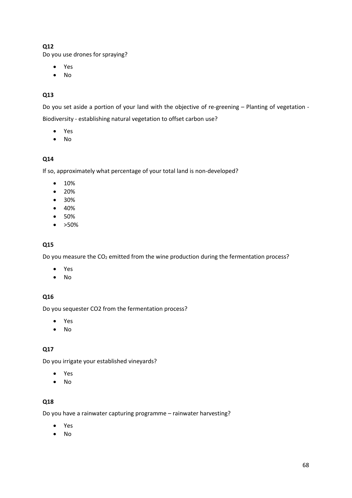Do you use drones for spraying?

- · Yes
- · No

# **Q13**

Do you set aside a portion of your land with the objective of re-greening – Planting of vegetation - Biodiversity - establishing natural vegetation to offset carbon use?

- · Yes
- · No

## **Q14**

If so, approximately what percentage of your total land is non-developed?

- · 10%
- · 20%
- · 30%
- · 40%
- · 50%
- · >50%

## **Q15**

Do you measure the  $CO<sub>2</sub>$  emitted from the wine production during the fermentation process?

- · Yes
- · No

# **Q16**

Do you sequester CO2 from the fermentation process?

- · Yes
- · No

## **Q17**

Do you irrigate your established vineyards?

- · Yes
- · No

## **Q18**

Do you have a rainwater capturing programme – rainwater harvesting?

- · Yes
- · No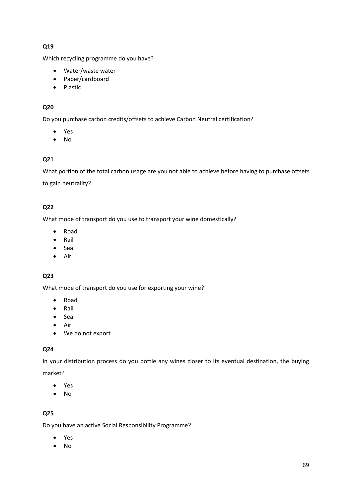Which recycling programme do you have?

- · Water/waste water
- · Paper/cardboard
- · Plastic

# **Q20**

Do you purchase carbon credits/offsets to achieve Carbon Neutral certification?

- · Yes
- · No

## **Q21**

What portion of the total carbon usage are you not able to achieve before having to purchase offsets

to gain neutrality?

## **Q22**

What mode of transport do you use to transport your wine domestically?

- · Road
- · Rail
- · Sea
- · Air

# **Q23**

What mode of transport do you use for exporting your wine?

- · Road
- · Rail
- · Sea
- · Air
- · We do not export

## **Q24**

In your distribution process do you bottle any wines closer to its eventual destination, the buying

market?

- · Yes
- · No

## **Q25**

Do you have an active Social Responsibility Programme?

- · Yes
- · No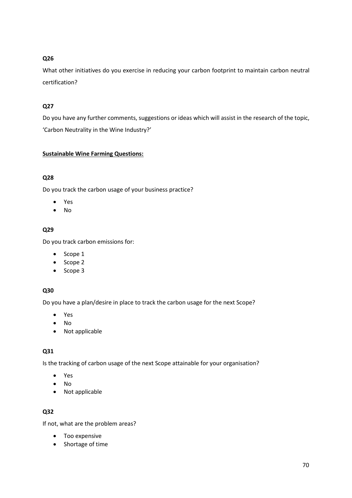What other initiatives do you exercise in reducing your carbon footprint to maintain carbon neutral certification?

## **Q27**

Do you have any further comments, suggestions or ideas which will assist in the research of the topic, 'Carbon Neutrality in the Wine Industry?'

## **Sustainable Wine Farming Questions:**

## **Q28**

Do you track the carbon usage of your business practice?

- · Yes
- · No

## **Q29**

Do you track carbon emissions for:

- · Scope 1
- · Scope 2
- · Scope 3

## **Q30**

Do you have a plan/desire in place to track the carbon usage for the next Scope?

- · Yes
- · No
- · Not applicable

## **Q31**

Is the tracking of carbon usage of the next Scope attainable for your organisation?

- · Yes
- · No
- · Not applicable

## **Q32**

If not, what are the problem areas?

- · Too expensive
- · Shortage of time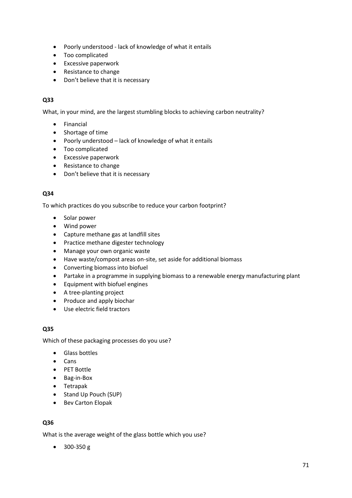- · Poorly understood lack of knowledge of what it entails
- · Too complicated
- · Excessive paperwork
- · Resistance to change
- · Don't believe that it is necessary

What, in your mind, are the largest stumbling blocks to achieving carbon neutrality?

- · Financial
- · Shortage of time
- · Poorly understood lack of knowledge of what it entails
- · Too complicated
- · Excessive paperwork
- · Resistance to change
- · Don't believe that it is necessary

## **Q34**

To which practices do you subscribe to reduce your carbon footprint?

- · Solar power
- · Wind power
- · Capture methane gas at landfill sites
- · Practice methane digester technology
- · Manage your own organic waste
- · Have waste/compost areas on-site, set aside for additional biomass
- · Converting biomass into biofuel
- · Partake in a programme in supplying biomass to a renewable energy manufacturing plant
- · Equipment with biofuel engines
- · A tree-planting project
- · Produce and apply biochar
- · Use electric field tractors

## **Q35**

Which of these packaging processes do you use?

- · Glass bottles
- · Cans
- · PET Bottle
- · Bag-in-Box
- · Tetrapak
- · Stand Up Pouch (SUP)
- · Bev Carton Elopak

## **Q36**

What is the average weight of the glass bottle which you use?

• 300-350 g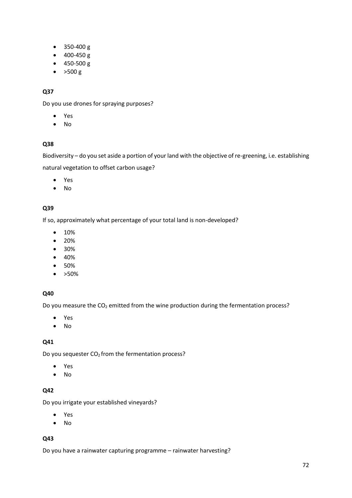- · 350-400 g
- $\bullet$  400-450 g
- 450-500 g
- · >500 g

Do you use drones for spraying purposes?

- · Yes
- · No

## **Q38**

Biodiversity – do you set aside a portion of your land with the objective of re-greening, i.e. establishing

natural vegetation to offset carbon usage?

- · Yes
- · No

## **Q39**

If so, approximately what percentage of your total land is non-developed?

- · 10%
- · 20%
- · 30%
- · 40%
- · 50%
- · >50%

## **Q40**

Do you measure the CO<sub>2</sub> emitted from the wine production during the fermentation process?

- · Yes
- · No

## **Q41**

Do you sequester  $CO<sub>2</sub>$  from the fermentation process?

- · Yes
- · No

## **Q42**

Do you irrigate your established vineyards?

- · Yes
- · No

## **Q43**

Do you have a rainwater capturing programme – rainwater harvesting?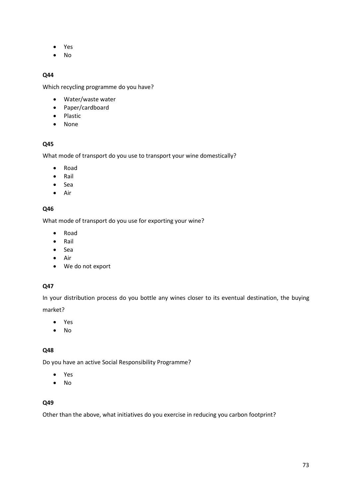- · Yes
- · No

Which recycling programme do you have?

- · Water/waste water
- · Paper/cardboard
- · Plastic
- · None

#### **Q45**

What mode of transport do you use to transport your wine domestically?

- · Road
- · Rail
- · Sea
- · Air

#### **Q46**

What mode of transport do you use for exporting your wine?

- · Road
- · Rail
- · Sea
- · Air
- · We do not export

## **Q47**

In your distribution process do you bottle any wines closer to its eventual destination, the buying market?

· Yes

· No

## **Q48**

Do you have an active Social Responsibility Programme?

- · Yes
- · No

## **Q49**

Other than the above, what initiatives do you exercise in reducing you carbon footprint?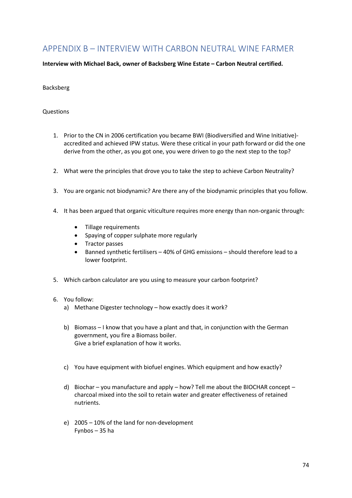# APPENDIX B – INTERVIEW WITH CARBON NEUTRAL WINE FARMER

**Interview with Michael Back, owner of Backsberg Wine Estate – Carbon Neutral certified.**

#### Backsberg

#### Questions

- 1. Prior to the CN in 2006 certification you became BWI (Biodiversified and Wine Initiative) accredited and achieved IPW status. Were these critical in your path forward or did the one derive from the other, as you got one, you were driven to go the next step to the top?
- 2. What were the principles that drove you to take the step to achieve Carbon Neutrality?
- 3. You are organic not biodynamic? Are there any of the biodynamic principles that you follow.
- 4. It has been argued that organic viticulture requires more energy than non-organic through:
	- · Tillage requirements
	- · Spaying of copper sulphate more regularly
	- · Tractor passes
	- · Banned synthetic fertilisers 40% of GHG emissions should therefore lead to a lower footprint.
- 5. Which carbon calculator are you using to measure your carbon footprint?
- 6. You follow:
	- a) Methane Digester technology how exactly does it work?
	- b) Biomass I know that you have a plant and that, in conjunction with the German government, you fire a Biomass boiler. Give a brief explanation of how it works.
	- c) You have equipment with biofuel engines. Which equipment and how exactly?
	- d) Biochar you manufacture and apply how? Tell me about the BIOCHAR concept charcoal mixed into the soil to retain water and greater effectiveness of retained nutrients.
	- e) 2005 10% of the land for non-development Fynbos – 35 ha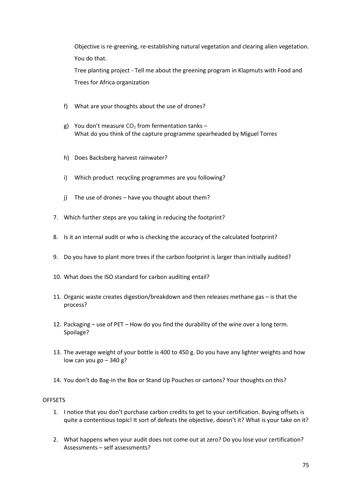Objective is re-greening, re-establishing natural vegetation and clearing alien vegetation. You do that.

Tree planting project - Tell me about the greening program in Klapmuts with Food and Trees for Africa organization

- f) What are your thoughts about the use of drones?
- g) You don't measure  $CO<sub>2</sub>$  from fermentation tanks What do you think of the capture programme spearheaded by Miguel Torres
- h) Does Backsberg harvest rainwater?
- i) Which product recycling programmes are you following?
- j) The use of drones have you thought about them?
- 7. Which further steps are you taking in reducing the footprint?
- 8. Is it an internal audit or who is checking the accuracy of the calculated footprint?
- 9. Do you have to plant more trees if the carbon footprint is larger than initially audited?
- 10. What does the ISO standard for carbon auditing entail?
- 11. Organic waste creates digestion/breakdown and then releases methane gas is that the process?
- 12. Packaging use of PET How do you find the durability of the wine over a long term. Spoilage?
- 13. The average weight of your bottle is 400 to 450 g. Do you have any lighter weights and how low can you go  $-340$  g?
- 14. You don't do Bag-in the Box or Stand Up Pouches or cartons? Your thoughts on this?

#### **OFFSETS**

- 1. I notice that you don't purchase carbon credits to get to your certification. Buying offsets is quite a contentious topic! It sort of defeats the objective, doesn't it? What is your take on it?
- 2. What happens when your audit does not come out at zero? Do you lose your certification? Assessments – self assessments?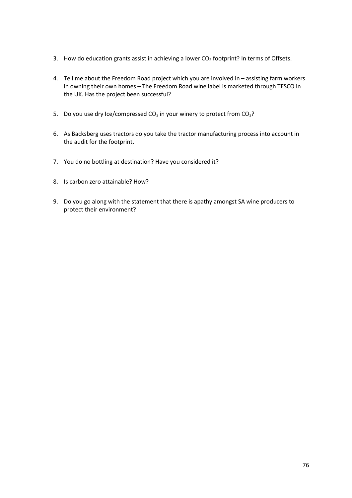- 3. How do education grants assist in achieving a lower  $CO<sub>2</sub>$  footprint? In terms of Offsets.
- 4. Tell me about the Freedom Road project which you are involved in assisting farm workers in owning their own homes – The Freedom Road wine label is marketed through TESCO in the UK. Has the project been successful?
- 5. Do you use dry Ice/compressed  $CO<sub>2</sub>$  in your winery to protect from  $CO<sub>2</sub>$ ?
- 6. As Backsberg uses tractors do you take the tractor manufacturing process into account in the audit for the footprint.
- 7. You do no bottling at destination? Have you considered it?
- 8. Is carbon zero attainable? How?
- 9. Do you go along with the statement that there is apathy amongst SA wine producers to protect their environment?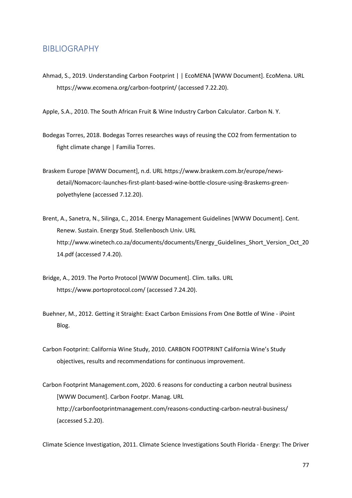# BIBLIOGRAPHY

- Ahmad, S., 2019. Understanding Carbon Footprint | | EcoMENA [WWW Document]. EcoMena. URL [https://www.ecomena.org/carbon-footprint/ \(accessed 7.22.20\).](https://www.ecomena.org/carbon-footprint/ (accessed 7.22.20). )
- Apple, S.A., 2010. The South African Fruit & Wine Industry Carbon Calculator. Carbon N. Y.
- Bodegas Torres, 2018. Bodegas Torres researches ways of reusing the CO2 from fermentation to fight climate change | Familia Torres.
- Braskem Europe [WWW Document], n.d. URL [https://www.braskem.com.br/europe/news](https://www.braskem.com.br/europe/news-)detail/Nomacorc-launches-first-plant-based-wine-bottle-closure-using-Braskems-greenpolyethylene (accessed 7.12.20).
- Brent, A., Sanetra, N., Silinga, C., 2014. Energy Management Guidelines [WWW Document]. Cent. Renew. Sustain. Energy Stud. Stellenbosch Univ. URL [http://www.winetech.co.za/documents/documents/Energy\\_Guidelines\\_Short\\_Version\\_Oct\\_20](http://www.winetech.co.za/documents/documents/Energy_Guidelines_Short_Version_Oct_20) 14.pdf (accessed 7.4.20).
- Bridge, A., 2019. The Porto Protocol [WWW Document]. Clim. talks. URL [https://www.portoprotocol.com/ \(accessed 7.24.20\).](https://www.portoprotocol.com/ (accessed 7.24.20). )
- Buehner, M., 2012. Getting it Straight: Exact Carbon Emissions From One Bottle of Wine iPoint Blog.
- Carbon Footprint: California Wine Study, 2010. CARBON FOOTPRINT California Wine's Study objectives, results and recommendations for continuous improvement.
- Carbon Footprint Management.com, 2020. 6 reasons for conducting a carbon neutral business [WWW Document]. Carbon Footpr. Manag. URL [http://carbonfootprintmanagement.com/reasons-conducting-carbon-neutral-business/](http://carbonfootprintmanagement.com/reasons-conducting-carbon-neutral-business/ )  (accessed 5.2.20).

Climate Science Investigation, 2011. Climate Science Investigations South Florida - Energy: The Driver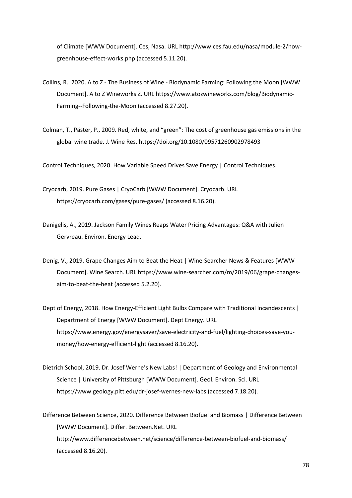of Climate [WWW Document]. Ces, Nasa. URL [http://www.ces.fau.edu/nasa/module-2/how](http://www.ces.fau.edu/nasa/module-2/how-)greenhouse-effect-works.php (accessed 5.11.20).

- Collins, R., 2020. A to Z The Business of Wine Biodynamic Farming: Following the Moon [WWW Document]. A to Z Wineworks Z. URL<https://www.atozwineworks.com/blog/Biodynamic->Farming--Following-the-Moon (accessed 8.27.20).
- Colman, T., Päster, P., 2009. Red, white, and "green": The cost of greenhouse gas emissions in the global wine trade. J. Wine Res. [https://doi.org/10.1080/09571260902978493](https://doi.org/10.1080/09571260902978493 )

Control Techniques, 2020. How Variable Speed Drives Save Energy | Control Techniques.

- Cryocarb, 2019. Pure Gases | CryoCarb [WWW Document]. Cryocarb. URL [https://cryocarb.com/gases/pure-gases/ \(accessed 8.16.20\).](https://cryocarb.com/gases/pure-gases/ (accessed 8.16.20). )
- Danigelis, A., 2019. Jackson Family Wines Reaps Water Pricing Advantages: Q&A with Julien Gervreau. Environ. Energy Lead.
- Denig, V., 2019. Grape Changes Aim to Beat the Heat | Wine-Searcher News & Features [WWW Document]. Wine Search. URL [https://www.wine-searcher.com/m/2019/06/grape-changes](https://www.wine-searcher.com/m/2019/06/grape-changes-)aim-to-beat-the-heat (accessed 5.2.20).
- Dept of Energy, 2018. How Energy-Efficient Light Bulbs Compare with Traditional Incandescents | Department of Energy [WWW Document]. Dept Energy. URL [https://www.energy.gov/energysaver/save-electricity-and-fuel/lighting-choices-save-you](https://www.energy.gov/energysaver/save-electricity-and-fuel/lighting-choices-save-you-)money/how-energy-efficient-light (accessed 8.16.20).
- Dietrich School, 2019. Dr. Josef Werne's New Labs! | Department of Geology and Environmental Science | University of Pittsburgh [WWW Document]. Geol. Environ. Sci. URL [https://www.geology.pitt.edu/dr-josef-wernes-new-labs \(accessed 7.18.20\).](https://www.geology.pitt.edu/dr-josef-wernes-new-labs (accessed 7.18.20). )
- Difference Between Science, 2020. Difference Between Biofuel and Biomass | Difference Between [WWW Document]. Differ. Between.Net. URL [http://www.differencebetween.net/science/difference-between-biofuel-and-biomass/](http://www.differencebetween.net/science/difference-between-biofuel-and-biomass/ )  (accessed 8.16.20).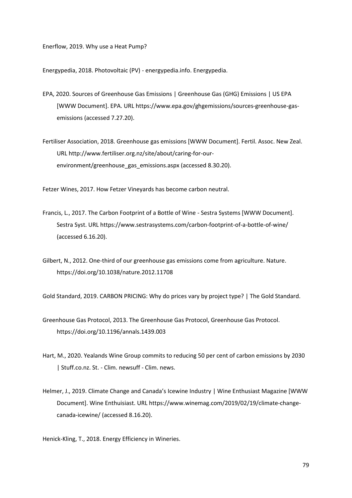Enerflow, 2019. Why use a Heat Pump?

Energypedia, 2018. Photovoltaic (PV) - energypedia.info. Energypedia.

- EPA, 2020. Sources of Greenhouse Gas Emissions | Greenhouse Gas (GHG) Emissions | US EPA [WWW Document]. EPA. URL [https://www.epa.gov/ghgemissions/sources-greenhouse-gas](https://www.epa.gov/ghgemissions/sources-greenhouse-gas-)emissions (accessed 7.27.20).
- Fertiliser Association, 2018. Greenhouse gas emissions [WWW Document]. Fertil. Assoc. New Zeal. URL [http://www.fertiliser.org.nz/site/about/caring-for-our](http://www.fertiliser.org.nz/site/about/caring-for-our-)environment/greenhouse\_gas\_emissions.aspx (accessed 8.30.20).

Fetzer Wines, 2017. How Fetzer Vineyards has become carbon neutral.

- Francis, L., 2017. The Carbon Footprint of a Bottle of Wine Sestra Systems [WWW Document]. Sestra Syst. URL [https://www.sestrasystems.com/carbon-footprint-of-a-bottle-of-wine/](https://www.sestrasystems.com/carbon-footprint-of-a-bottle-of-wine/ )  (accessed 6.16.20).
- Gilbert, N., 2012. One-third of our greenhouse gas emissions come from agriculture. Nature. [https://doi.org/10.1038/nature.2012.11708](https://doi.org/10.1038/nature.2012.11708 )

Gold Standard, 2019. CARBON PRICING: Why do prices vary by project type? | The Gold Standard.

- Greenhouse Gas Protocol, 2013. The Greenhouse Gas Protocol, Greenhouse Gas Protocol. [https://doi.org/10.1196/annals.1439.003](https://doi.org/10.1196/annals.1439.003 )
- Hart, M., 2020. Yealands Wine Group commits to reducing 50 per cent of carbon emissions by 2030 | Stuff.co.nz. St. - Clim. newsuff - Clim. news.
- Helmer, J., 2019. Climate Change and Canada's Icewine Industry | Wine Enthusiast Magazine [WWW Document]. Wine Enthuisiast. URL [https://www.winemag.com/2019/02/19/climate-change](https://www.winemag.com/2019/02/19/climate-change-)canada-icewine/ (accessed 8.16.20).

Henick-Kling, T., 2018. Energy Efficiency in Wineries.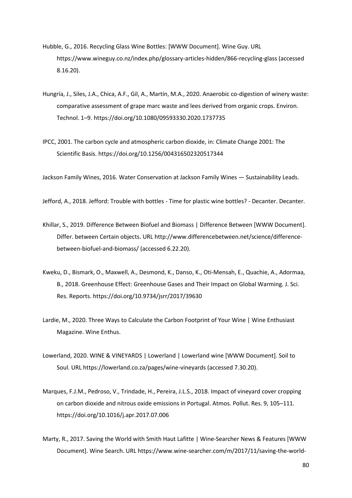- Hubble, G., 2016. Recycling Glass Wine Bottles: [WWW Document]. Wine Guy. URL [https://www.wineguy.co.nz/index.php/glossary-articles-hidden/866-recycling-glass \(accessed](https://www.wineguy.co.nz/index.php/glossary-articles-hidden/866-recycling-glass (accessed )  8.16.20).
- Hungría, J., Siles, J.A., Chica, A.F., Gil, A., Martín, M.A., 2020. Anaerobic co-digestion of winery waste: comparative assessment of grape marc waste and lees derived from organic crops. Environ. Technol. 1–9. [https://doi.org/10.1080/09593330.2020.1737735](https://doi.org/10.1080/09593330.2020.1737735 )
- IPCC, 2001. The carbon cycle and atmospheric carbon dioxide, in: Climate Change 2001: The Scientific Basis. [https://doi.org/10.1256/004316502320517344](https://doi.org/10.1256/004316502320517344 )

Jackson Family Wines, 2016. Water Conservation at Jackson Family Wines — Sustainability Leads.

Jefford, A., 2018. Jefford: Trouble with bottles - Time for plastic wine bottles? - Decanter. Decanter.

- Khillar, S., 2019. Difference Between Biofuel and Biomass | Difference Between [WWW Document]. Differ. between Certain objects. URL [http://www.differencebetween.net/science/difference](http://www.differencebetween.net/science/difference-)between-biofuel-and-biomass/ (accessed 6.22.20).
- Kweku, D., Bismark, O., Maxwell, A., Desmond, K., Danso, K., Oti-Mensah, E., Quachie, A., Adormaa, B., 2018. Greenhouse Effect: Greenhouse Gases and Their Impact on Global Warming. J. Sci. Res. Reports. [https://doi.org/10.9734/jsrr/2017/39630](https://doi.org/10.9734/jsrr/2017/39630 )
- Lardie, M., 2020. Three Ways to Calculate the Carbon Footprint of Your Wine | Wine Enthusiast Magazine. Wine Enthus.
- Lowerland, 2020. WINE & VINEYARDS | Lowerland | Lowerland wine [WWW Document]. Soil to Soul. URL [https://lowerland.co.za/pages/wine-vineyards \(accessed 7.30.20\).](https://lowerland.co.za/pages/wine-vineyards (accessed 7.30.20). )
- Marques, F.J.M., Pedroso, V., Trindade, H., Pereira, J.L.S., 2018. Impact of vineyard cover cropping on carbon dioxide and nitrous oxide emissions in Portugal. Atmos. Pollut. Res. 9, 105–111. [https://doi.org/10.1016/j.apr.2017.07.006](https://doi.org/10.1016/j.apr.2017.07.006 )
- Marty, R., 2017. Saving the World with Smith Haut Lafitte | Wine-Searcher News & Features [WWW Document]. Wine Search. URL<https://www.wine-searcher.com/m/2017/11/saving-the-world->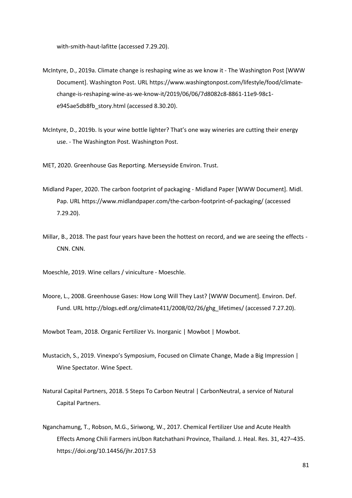with-smith-haut-lafitte (accessed 7.29.20).

- McIntyre, D., 2019a. Climate change is reshaping wine as we know it The Washington Post [WWW Document]. Washington Post. URL [https://www.washingtonpost.com/lifestyle/food/climate](https://www.washingtonpost.com/lifestyle/food/climate-)change-is-reshaping-wine-as-we-know-it/2019/06/06/7d8082c8-8861-11e9-98c1 e945ae5db8fb\_story.html (accessed 8.30.20).
- McIntyre, D., 2019b. Is your wine bottle lighter? That's one way wineries are cutting their energy use. - The Washington Post. Washington Post.

MET, 2020. Greenhouse Gas Reporting. Merseyside Environ. Trust.

- Midland Paper, 2020. The carbon footprint of packaging Midland Paper [WWW Document]. Midl. Pap. URL [https://www.midlandpaper.com/the-carbon-footprint-of-packaging/ \(accessed](https://www.midlandpaper.com/the-carbon-footprint-of-packaging/ (accessed )  7.29.20).
- Millar, B., 2018. The past four years have been the hottest on record, and we are seeing the effects CNN. CNN.

Moeschle, 2019. Wine cellars / viniculture - Moeschle.

Moore, L., 2008. Greenhouse Gases: How Long Will They Last? [WWW Document]. Environ. Def. Fund. URL [http://blogs.edf.org/climate411/2008/02/26/ghg\\_lifetimes/ \(accessed 7.27.20\).](http://blogs.edf.org/climate411/2008/02/26/ghg_lifetimes/ (accessed 7.27.20). )

Mowbot Team, 2018. Organic Fertilizer Vs. Inorganic | Mowbot | Mowbot.

- Mustacich, S., 2019. Vinexpo's Symposium, Focused on Climate Change, Made a Big Impression | Wine Spectator. Wine Spect.
- Natural Capital Partners, 2018. 5 Steps To Carbon Neutral | CarbonNeutral, a service of Natural Capital Partners.
- Nganchamung, T., Robson, M.G., Siriwong, W., 2017. Chemical Fertilizer Use and Acute Health Effects Among Chili Farmers inUbon Ratchathani Province, Thailand. J. Heal. Res. 31, 427–435. [https://doi.org/10.14456/jhr.2017.53](https://doi.org/10.14456/jhr.2017.53 )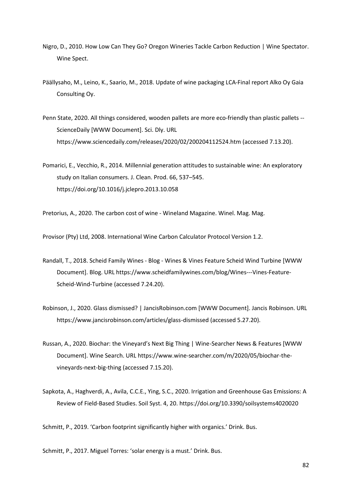- Nigro, D., 2010. How Low Can They Go? Oregon Wineries Tackle Carbon Reduction | Wine Spectator. Wine Spect.
- Päällysaho, M., Leino, K., Saario, M., 2018. Update of wine packaging LCA-Final report Alko Oy Gaia Consulting Oy.
- Penn State, 2020. All things considered, wooden pallets are more eco-friendly than plastic pallets -- ScienceDaily [WWW Document]. Sci. Dly. URL [https://www.sciencedaily.com/releases/2020/02/200204112524.htm \(accessed 7.13.20\).](https://www.sciencedaily.com/releases/2020/02/200204112524.htm (accessed 7.13.20). )
- Pomarici, E., Vecchio, R., 2014. Millennial generation attitudes to sustainable wine: An exploratory study on Italian consumers. J. Clean. Prod. 66, 537–545. [https://doi.org/10.1016/j.jclepro.2013.10.058](https://doi.org/10.1016/j.jclepro.2013.10.058 )

Pretorius, A., 2020. The carbon cost of wine - Wineland Magazine. Winel. Mag. Mag.

Provisor (Pty) Ltd, 2008. International Wine Carbon Calculator Protocol Version 1.2.

- Randall, T., 2018. Scheid Family Wines Blog Wines & Vines Feature Scheid Wind Turbine [WWW Document]. Blog. URL<https://www.scheidfamilywines.com/blog/Wines---Vines-Feature->Scheid-Wind-Turbine (accessed 7.24.20).
- Robinson, J., 2020. Glass dismissed? | JancisRobinson.com [WWW Document]. Jancis Robinson. URL [https://www.jancisrobinson.com/articles/glass-dismissed \(accessed 5.27.20\).](https://www.jancisrobinson.com/articles/glass-dismissed (accessed 5.27.20). )
- Russan, A., 2020. Biochar: the Vineyard's Next Big Thing | Wine-Searcher News & Features [WWW Document]. Wine Search. URL [https://www.wine-searcher.com/m/2020/05/biochar-the](https://www.wine-searcher.com/m/2020/05/biochar-the-)vineyards-next-big-thing (accessed 7.15.20).
- Sapkota, A., Haghverdi, A., Avila, C.C.E., Ying, S.C., 2020. Irrigation and Greenhouse Gas Emissions: A Review of Field-Based Studies. Soil Syst. 4, 20. [https://doi.org/10.3390/soilsystems4020020](https://doi.org/10.3390/soilsystems4020020 )

Schmitt, P., 2019. 'Carbon footprint significantly higher with organics.' Drink. Bus.

Schmitt, P., 2017. Miguel Torres: 'solar energy is a must.' Drink. Bus.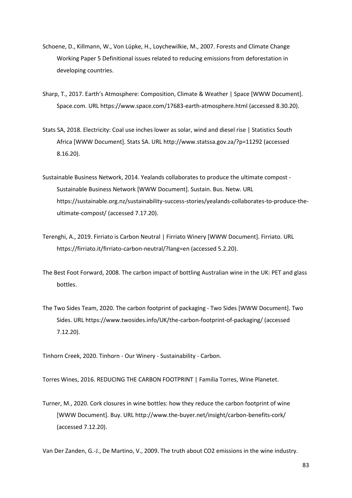- Schoene, D., Killmann, W., Von Lüpke, H., Loychewilkie, M., 2007. Forests and Climate Change Working Paper 5 Definitional issues related to reducing emissions from deforestation in developing countries.
- Sharp, T., 2017. Earth's Atmosphere: Composition, Climate & Weather | Space [WWW Document]. Space.com. URL [https://www.space.com/17683-earth-atmosphere.html \(accessed 8.30.20\).](https://www.space.com/17683-earth-atmosphere.html (accessed 8.30.20). )
- Stats SA, 2018. Electricity: Coal use inches lower as solar, wind and diesel rise | Statistics South Africa [WWW Document]. Stats SA. URL<http://www.statssa.gov.za/?p=11292>(accessed 8.16.20).
- Sustainable Business Network, 2014. Yealands collaborates to produce the ultimate compost Sustainable Business Network [WWW Document]. Sustain. Bus. Netw. URL [https://sustainable.org.nz/sustainability-success-stories/yealands-collaborates-to-produce-the](https://sustainable.org.nz/sustainability-success-stories/yealands-collaborates-to-produce-the-)ultimate-compost/ (accessed 7.17.20).
- Terenghi, A., 2019. Firriato is Carbon Neutral | Firriato Winery [WWW Document]. Firriato. URL [https://firriato.it/firriato-carbon-neutral/](https://firriato.it/firriato-carbon-neutral)?lang=en (accessed 5.2.20).
- The Best Foot Forward, 2008. The carbon impact of bottling Australian wine in the UK: PET and glass bottles.
- The Two Sides Team, 2020. The carbon footprint of packaging Two Sides [WWW Document]. Two Sides. URL [https://www.twosides.info/UK/the-carbon-footprint-of-packaging/ \(accessed](https://www.twosides.info/UK/the-carbon-footprint-of-packaging/ (accessed )  7.12.20).

Tinhorn Creek, 2020. Tinhorn - Our Winery - Sustainability - Carbon.

Torres Wines, 2016. REDUCING THE CARBON FOOTPRINT | Familia Torres, Wine Planetet.

Turner, M., 2020. Cork closures in wine bottles: how they reduce the carbon footprint of wine [WWW Document]. Buy. URL [http://www.the-buyer.net/insight/carbon-benefits-cork/](http://www.the-buyer.net/insight/carbon-benefits-cork/ )  (accessed 7.12.20).

Van Der Zanden, G.-J., De Martino, V., 2009. The truth about CO2 emissions in the wine industry.